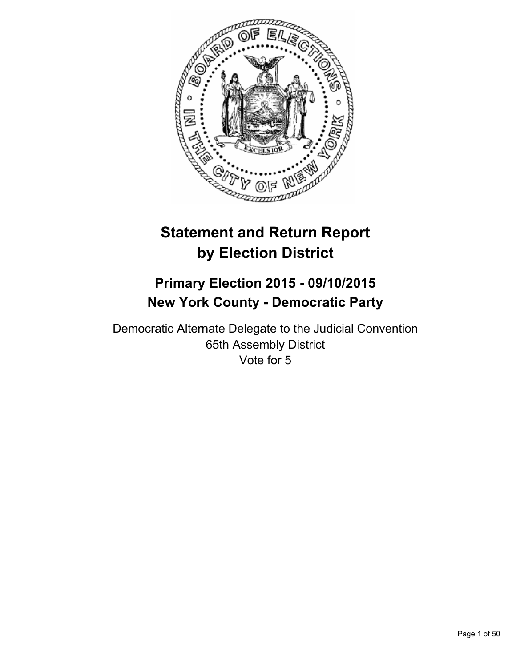

# **Statement and Return Report by Election District**

# **Primary Election 2015 - 09/10/2015 New York County - Democratic Party**

Democratic Alternate Delegate to the Judicial Convention 65th Assembly District Vote for 5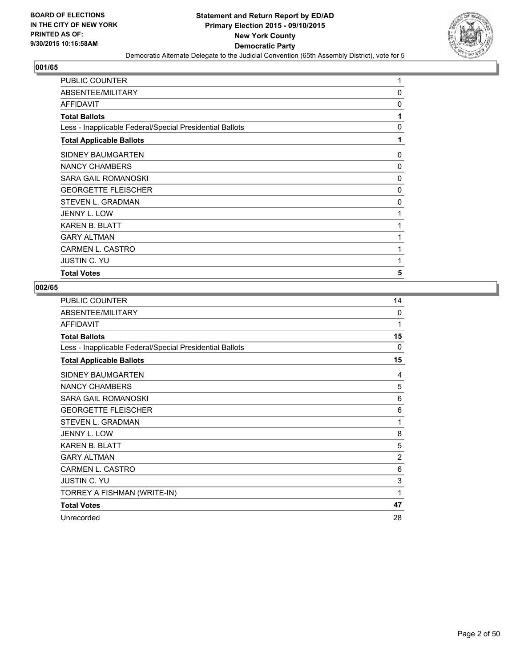

| PUBLIC COUNTER                                           | 1            |
|----------------------------------------------------------|--------------|
| ABSENTEE/MILITARY                                        | 0            |
| <b>AFFIDAVIT</b>                                         | 0            |
| <b>Total Ballots</b>                                     | 1            |
| Less - Inapplicable Federal/Special Presidential Ballots | $\mathbf{0}$ |
| <b>Total Applicable Ballots</b>                          | 1            |
| SIDNEY BAUMGARTEN                                        | 0            |
| NANCY CHAMBERS                                           | 0            |
| <b>SARA GAIL ROMANOSKI</b>                               | $\Omega$     |
| <b>GEORGETTE FLEISCHER</b>                               | 0            |
| STEVEN L. GRADMAN                                        | 0            |
| <b>JENNY L. LOW</b>                                      | 1            |
| <b>KAREN B. BLATT</b>                                    | 1            |
| <b>GARY ALTMAN</b>                                       | 1            |
| <b>CARMEN L. CASTRO</b>                                  | 1            |
| <b>JUSTIN C. YU</b>                                      | 1            |
| <b>Total Votes</b>                                       | 5            |

| <b>PUBLIC COUNTER</b>                                    | 14             |
|----------------------------------------------------------|----------------|
| ABSENTEE/MILITARY                                        | 0              |
| <b>AFFIDAVIT</b>                                         | 1              |
| <b>Total Ballots</b>                                     | 15             |
| Less - Inapplicable Federal/Special Presidential Ballots | $\Omega$       |
| <b>Total Applicable Ballots</b>                          | 15             |
| SIDNEY BAUMGARTEN                                        | 4              |
| <b>NANCY CHAMBERS</b>                                    | 5              |
| <b>SARA GAIL ROMANOSKI</b>                               | 6              |
| <b>GEORGETTE FLEISCHER</b>                               | 6              |
| <b>STEVEN L. GRADMAN</b>                                 | 1              |
| JENNY L. LOW                                             | 8              |
| <b>KAREN B. BLATT</b>                                    | 5              |
| <b>GARY ALTMAN</b>                                       | $\overline{2}$ |
| <b>CARMEN L. CASTRO</b>                                  | 6              |
| <b>JUSTIN C. YU</b>                                      | 3              |
| TORREY A FISHMAN (WRITE-IN)                              | 1              |
| <b>Total Votes</b>                                       | 47             |
| Unrecorded                                               | 28             |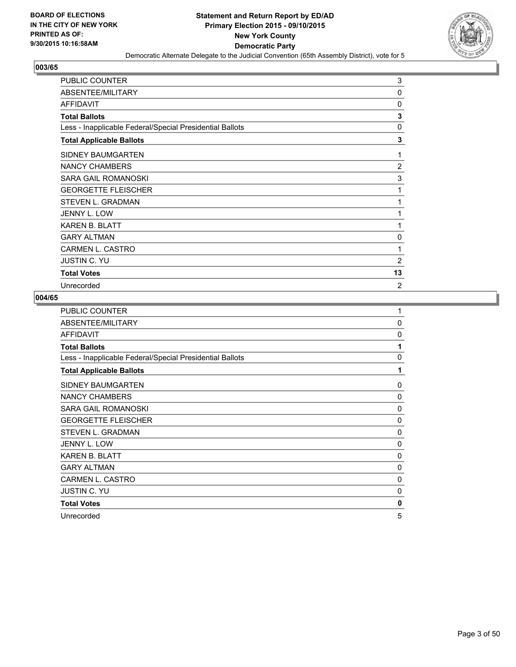

| <b>PUBLIC COUNTER</b>                                    | 3              |
|----------------------------------------------------------|----------------|
| ABSENTEE/MILITARY                                        | $\mathbf{0}$   |
| <b>AFFIDAVIT</b>                                         | $\mathbf{0}$   |
| <b>Total Ballots</b>                                     | 3              |
| Less - Inapplicable Federal/Special Presidential Ballots | $\mathbf{0}$   |
| <b>Total Applicable Ballots</b>                          | 3              |
| SIDNEY BAUMGARTEN                                        | 1              |
| NANCY CHAMBERS                                           | $\overline{2}$ |
| SARA GAIL ROMANOSKI                                      | 3              |
| <b>GEORGETTE FLEISCHER</b>                               | 1              |
| STEVEN L. GRADMAN                                        | 1              |
| JENNY L. LOW                                             | 1              |
| <b>KAREN B. BLATT</b>                                    | 1              |
| <b>GARY ALTMAN</b>                                       | 0              |
| <b>CARMEN L. CASTRO</b>                                  | 1              |
| <b>JUSTIN C. YU</b>                                      | $\overline{2}$ |
| <b>Total Votes</b>                                       | 13             |
| Unrecorded                                               | 2              |

| PUBLIC COUNTER                                           | 1            |
|----------------------------------------------------------|--------------|
| ABSENTEE/MILITARY                                        | $\mathbf{0}$ |
| <b>AFFIDAVIT</b>                                         | $\Omega$     |
| <b>Total Ballots</b>                                     | 1            |
| Less - Inapplicable Federal/Special Presidential Ballots | 0            |
| <b>Total Applicable Ballots</b>                          | 1            |
| SIDNEY BAUMGARTEN                                        | 0            |
| <b>NANCY CHAMBERS</b>                                    | 0            |
| <b>SARA GAIL ROMANOSKI</b>                               | 0            |
| <b>GEORGETTE FLEISCHER</b>                               | 0            |
| <b>STEVEN L. GRADMAN</b>                                 | 0            |
| JENNY L. LOW                                             | 0            |
| <b>KAREN B. BLATT</b>                                    | 0            |
| <b>GARY ALTMAN</b>                                       | 0            |
| CARMEN L. CASTRO                                         | 0            |
| JUSTIN C. YU                                             | 0            |
| <b>Total Votes</b>                                       | 0            |
| Unrecorded                                               | 5            |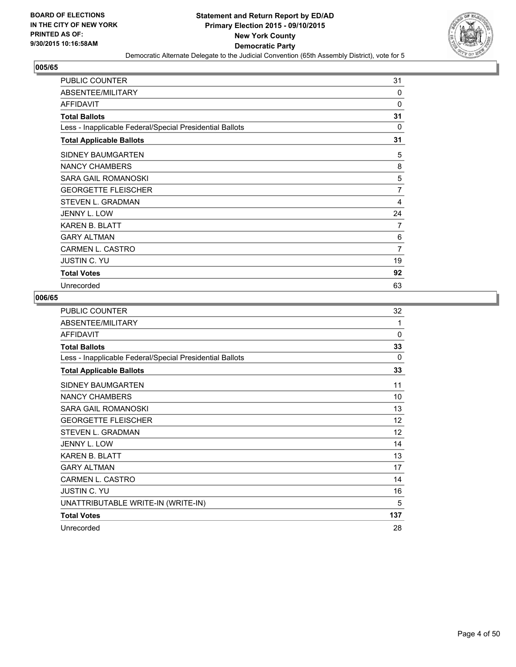

| <b>PUBLIC COUNTER</b>                                    | 31 |
|----------------------------------------------------------|----|
| ABSENTEE/MILITARY                                        | 0  |
| <b>AFFIDAVIT</b>                                         | 0  |
| <b>Total Ballots</b>                                     | 31 |
| Less - Inapplicable Federal/Special Presidential Ballots | 0  |
| <b>Total Applicable Ballots</b>                          | 31 |
| <b>SIDNEY BAUMGARTEN</b>                                 | 5  |
| NANCY CHAMBERS                                           | 8  |
| <b>SARA GAIL ROMANOSKI</b>                               | 5  |
| <b>GEORGETTE FLEISCHER</b>                               | 7  |
| STEVEN L. GRADMAN                                        | 4  |
| JENNY L. LOW                                             | 24 |
| <b>KAREN B. BLATT</b>                                    | 7  |
| <b>GARY ALTMAN</b>                                       | 6  |
| <b>CARMEN L. CASTRO</b>                                  | 7  |
| <b>JUSTIN C. YU</b>                                      | 19 |
| <b>Total Votes</b>                                       | 92 |
| Unrecorded                                               | 63 |

| <b>PUBLIC COUNTER</b>                                    | 32       |
|----------------------------------------------------------|----------|
| ABSENTEE/MILITARY                                        | 1        |
| <b>AFFIDAVIT</b>                                         | $\Omega$ |
| <b>Total Ballots</b>                                     | 33       |
| Less - Inapplicable Federal/Special Presidential Ballots | $\Omega$ |
| <b>Total Applicable Ballots</b>                          | 33       |
| SIDNEY BAUMGARTEN                                        | 11       |
| <b>NANCY CHAMBERS</b>                                    | 10       |
| SARA GAIL ROMANOSKI                                      | 13       |
| <b>GEORGETTE FLEISCHER</b>                               | 12       |
| STEVEN L. GRADMAN                                        | 12       |
| <b>JENNY L. LOW</b>                                      | 14       |
| <b>KAREN B. BLATT</b>                                    | 13       |
| <b>GARY ALTMAN</b>                                       | 17       |
| <b>CARMEN L. CASTRO</b>                                  | 14       |
| <b>JUSTIN C. YU</b>                                      | 16       |
| UNATTRIBUTABLE WRITE-IN (WRITE-IN)                       | 5        |
| <b>Total Votes</b>                                       | 137      |
| Unrecorded                                               | 28       |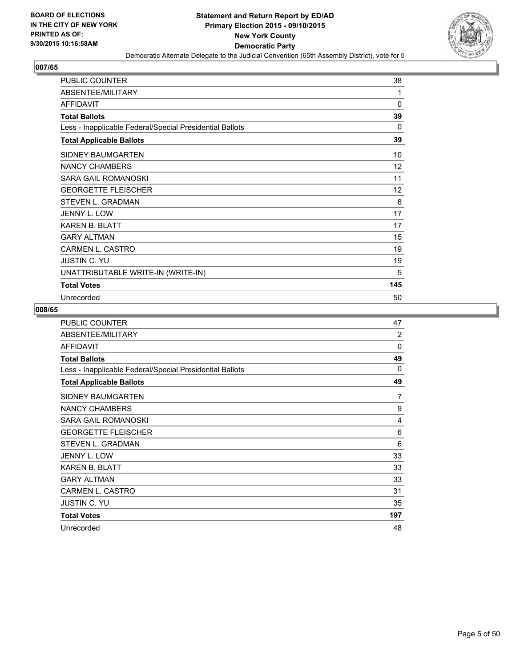

| <b>PUBLIC COUNTER</b>                                    | 38  |
|----------------------------------------------------------|-----|
| ABSENTEE/MILITARY                                        | 1   |
| <b>AFFIDAVIT</b>                                         | 0   |
| <b>Total Ballots</b>                                     | 39  |
| Less - Inapplicable Federal/Special Presidential Ballots | 0   |
| <b>Total Applicable Ballots</b>                          | 39  |
| <b>SIDNEY BAUMGARTEN</b>                                 | 10  |
| <b>NANCY CHAMBERS</b>                                    | 12  |
| <b>SARA GAIL ROMANOSKI</b>                               | 11  |
| <b>GEORGETTE FLEISCHER</b>                               | 12  |
| <b>STEVEN L. GRADMAN</b>                                 | 8   |
| JENNY L. LOW                                             | 17  |
| <b>KAREN B. BLATT</b>                                    | 17  |
| <b>GARY ALTMAN</b>                                       | 15  |
| <b>CARMEN L. CASTRO</b>                                  | 19  |
| <b>JUSTIN C. YU</b>                                      | 19  |
| UNATTRIBUTABLE WRITE-IN (WRITE-IN)                       | 5   |
| <b>Total Votes</b>                                       | 145 |
| Unrecorded                                               | 50  |

| <b>PUBLIC COUNTER</b>                                    | 47             |
|----------------------------------------------------------|----------------|
| ABSENTEE/MILITARY                                        | $\overline{2}$ |
| <b>AFFIDAVIT</b>                                         | $\Omega$       |
| <b>Total Ballots</b>                                     | 49             |
| Less - Inapplicable Federal/Special Presidential Ballots | 0              |
| <b>Total Applicable Ballots</b>                          | 49             |
| SIDNEY BAUMGARTEN                                        | 7              |
| <b>NANCY CHAMBERS</b>                                    | 9              |
| SARA GAIL ROMANOSKI                                      | 4              |
| <b>GEORGETTE FLEISCHER</b>                               | 6              |
| <b>STEVEN L. GRADMAN</b>                                 | 6              |
| <b>JENNY L. LOW</b>                                      | 33             |
| <b>KAREN B. BLATT</b>                                    | 33             |
| <b>GARY ALTMAN</b>                                       | 33             |
| <b>CARMEN L. CASTRO</b>                                  | 31             |
| <b>JUSTIN C. YU</b>                                      | 35             |
| <b>Total Votes</b>                                       | 197            |
| Unrecorded                                               | 48             |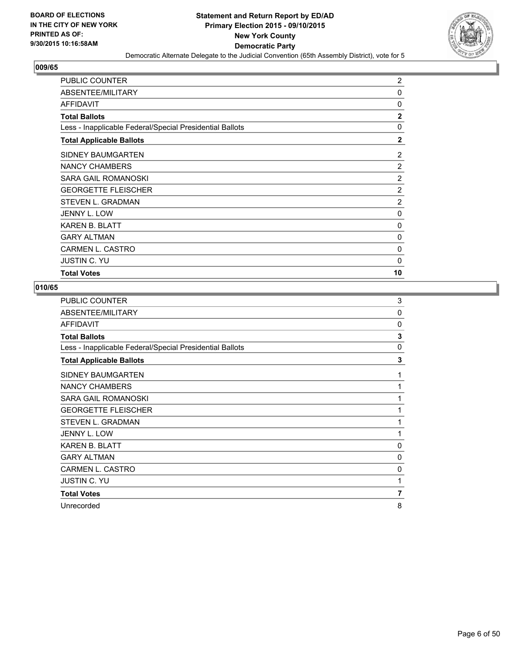

| <b>PUBLIC COUNTER</b>                                    | 2              |
|----------------------------------------------------------|----------------|
| ABSENTEE/MILITARY                                        | 0              |
| AFFIDAVIT                                                | $\Omega$       |
| <b>Total Ballots</b>                                     | $\overline{2}$ |
| Less - Inapplicable Federal/Special Presidential Ballots | 0              |
| <b>Total Applicable Ballots</b>                          | $\mathbf{2}$   |
| SIDNEY BAUMGARTEN                                        | 2              |
| NANCY CHAMBERS                                           | 2              |
| SARA GAIL ROMANOSKI                                      | 2              |
| <b>GEORGETTE FLEISCHER</b>                               | $\overline{2}$ |
| <b>STEVEN L. GRADMAN</b>                                 | $\overline{2}$ |
| JENNY L. LOW                                             | 0              |
| <b>KAREN B. BLATT</b>                                    | 0              |
| <b>GARY ALTMAN</b>                                       | 0              |
| CARMEN L. CASTRO                                         | 0              |
| <b>JUSTIN C. YU</b>                                      | 0              |
| <b>Total Votes</b>                                       | 10             |

| <b>PUBLIC COUNTER</b>                                    | 3              |
|----------------------------------------------------------|----------------|
| ABSENTEE/MILITARY                                        | 0              |
| <b>AFFIDAVIT</b>                                         | 0              |
| <b>Total Ballots</b>                                     | 3              |
| Less - Inapplicable Federal/Special Presidential Ballots | 0              |
| <b>Total Applicable Ballots</b>                          | 3              |
| SIDNEY BAUMGARTEN                                        | 1              |
| NANCY CHAMBERS                                           | 1              |
| SARA GAIL ROMANOSKI                                      | 1              |
| <b>GEORGETTE FLEISCHER</b>                               | 1              |
| STEVEN L. GRADMAN                                        | 1              |
| JENNY L. LOW                                             | 1              |
| <b>KAREN B. BLATT</b>                                    | 0              |
| <b>GARY ALTMAN</b>                                       | 0              |
| CARMEN L. CASTRO                                         | 0              |
| <b>JUSTIN C. YU</b>                                      | 1              |
| <b>Total Votes</b>                                       | $\overline{7}$ |
| Unrecorded                                               | 8              |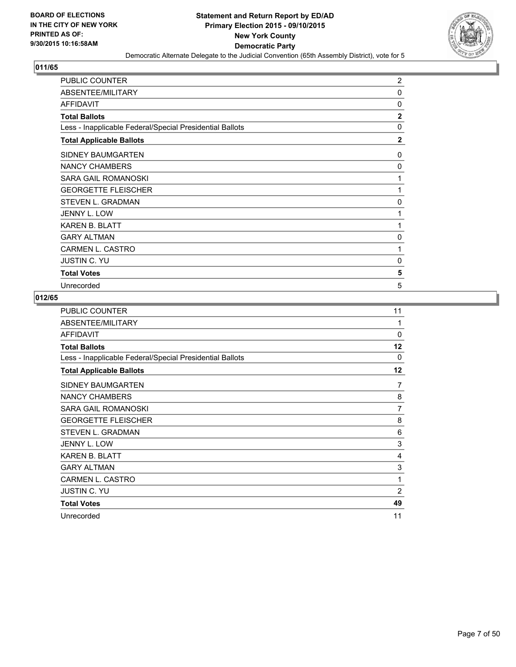

| <b>PUBLIC COUNTER</b>                                    | $\overline{2}$ |
|----------------------------------------------------------|----------------|
| ABSENTEE/MILITARY                                        | 0              |
| <b>AFFIDAVIT</b>                                         | 0              |
| <b>Total Ballots</b>                                     | $\mathbf{2}$   |
| Less - Inapplicable Federal/Special Presidential Ballots | $\Omega$       |
| <b>Total Applicable Ballots</b>                          | $\mathbf{2}$   |
| <b>SIDNEY BAUMGARTEN</b>                                 | 0              |
| NANCY CHAMBERS                                           | 0              |
| SARA GAIL ROMANOSKI                                      | 1              |
| <b>GEORGETTE FLEISCHER</b>                               | 1              |
| STEVEN L. GRADMAN                                        | 0              |
| JENNY L. LOW                                             | 1              |
| <b>KAREN B. BLATT</b>                                    | 1              |
| <b>GARY ALTMAN</b>                                       | 0              |
| <b>CARMEN L. CASTRO</b>                                  | 1              |
| <b>JUSTIN C. YU</b>                                      | 0              |
| <b>Total Votes</b>                                       | 5              |
| Unrecorded                                               | 5              |

| PUBLIC COUNTER                                           | 11             |
|----------------------------------------------------------|----------------|
| ABSENTEE/MILITARY                                        | 1              |
| <b>AFFIDAVIT</b>                                         | $\Omega$       |
| <b>Total Ballots</b>                                     | 12             |
| Less - Inapplicable Federal/Special Presidential Ballots | 0              |
| <b>Total Applicable Ballots</b>                          | 12             |
| SIDNEY BAUMGARTEN                                        | 7              |
| <b>NANCY CHAMBERS</b>                                    | 8              |
| SARA GAIL ROMANOSKI                                      | 7              |
| <b>GEORGETTE FLEISCHER</b>                               | 8              |
| STEVEN L. GRADMAN                                        | 6              |
| <b>JENNY L. LOW</b>                                      | 3              |
| <b>KAREN B. BLATT</b>                                    | 4              |
| <b>GARY ALTMAN</b>                                       | 3              |
| CARMEN L. CASTRO                                         | 1              |
| <b>JUSTIN C. YU</b>                                      | $\overline{2}$ |
| <b>Total Votes</b>                                       | 49             |
| Unrecorded                                               | 11             |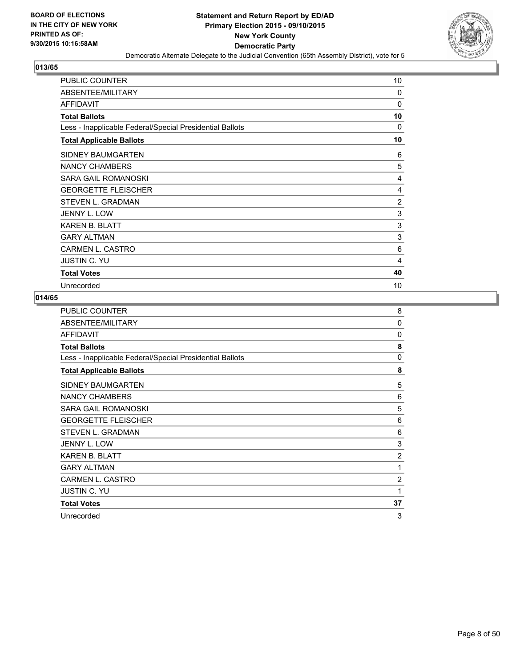

| <b>PUBLIC COUNTER</b>                                    | 10 |
|----------------------------------------------------------|----|
| ABSENTEE/MILITARY                                        | 0  |
| AFFIDAVIT                                                | 0  |
| <b>Total Ballots</b>                                     | 10 |
| Less - Inapplicable Federal/Special Presidential Ballots | 0  |
| <b>Total Applicable Ballots</b>                          | 10 |
| <b>SIDNEY BAUMGARTEN</b>                                 | 6  |
| NANCY CHAMBERS                                           | 5  |
| <b>SARA GAIL ROMANOSKI</b>                               | 4  |
| <b>GEORGETTE FLEISCHER</b>                               | 4  |
| STEVEN L. GRADMAN                                        | 2  |
| JENNY L. LOW                                             | 3  |
| <b>KAREN B. BLATT</b>                                    | 3  |
| <b>GARY ALTMAN</b>                                       | 3  |
| <b>CARMEN L. CASTRO</b>                                  | 6  |
| <b>JUSTIN C. YU</b>                                      | 4  |
| <b>Total Votes</b>                                       | 40 |
| Unrecorded                                               | 10 |

| PUBLIC COUNTER                                           | 8              |
|----------------------------------------------------------|----------------|
| ABSENTEE/MILITARY                                        | $\Omega$       |
| <b>AFFIDAVIT</b>                                         | $\Omega$       |
| <b>Total Ballots</b>                                     | 8              |
| Less - Inapplicable Federal/Special Presidential Ballots | 0              |
| <b>Total Applicable Ballots</b>                          | 8              |
| <b>SIDNEY BAUMGARTEN</b>                                 | 5              |
| <b>NANCY CHAMBERS</b>                                    | 6              |
| SARA GAIL ROMANOSKI                                      | 5              |
| <b>GEORGETTE FLEISCHER</b>                               | 6              |
| <b>STEVEN L. GRADMAN</b>                                 | 6              |
| JENNY L. LOW                                             | 3              |
| <b>KAREN B. BLATT</b>                                    | $\overline{2}$ |
| <b>GARY ALTMAN</b>                                       | 1              |
| CARMEN L. CASTRO                                         | $\overline{c}$ |
| JUSTIN C. YU                                             | 1              |
| <b>Total Votes</b>                                       | 37             |
| Unrecorded                                               | 3              |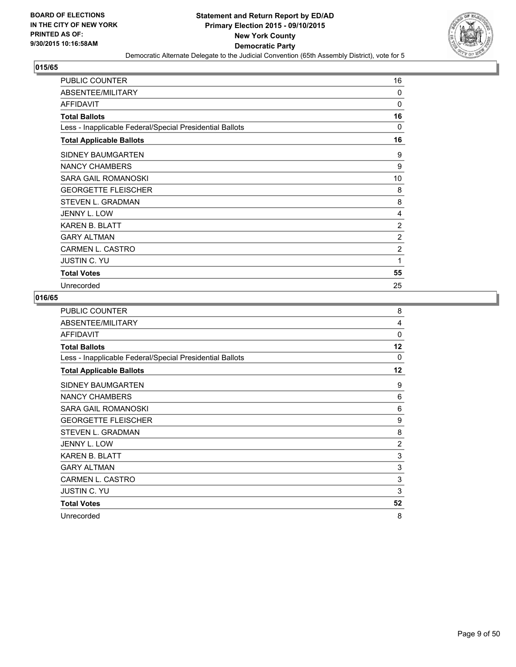

| <b>PUBLIC COUNTER</b>                                    | 16       |
|----------------------------------------------------------|----------|
| ABSENTEE/MILITARY                                        | $\Omega$ |
| <b>AFFIDAVIT</b>                                         | 0        |
| <b>Total Ballots</b>                                     | 16       |
| Less - Inapplicable Federal/Special Presidential Ballots | 0        |
| <b>Total Applicable Ballots</b>                          | 16       |
| SIDNEY BAUMGARTEN                                        | 9        |
| NANCY CHAMBERS                                           | 9        |
| SARA GAIL ROMANOSKI                                      | 10       |
| <b>GEORGETTE FLEISCHER</b>                               | 8        |
| STEVEN L. GRADMAN                                        | 8        |
| <b>JENNY L. LOW</b>                                      | 4        |
| <b>KAREN B. BLATT</b>                                    | 2        |
| <b>GARY ALTMAN</b>                                       | 2        |
| <b>CARMEN L. CASTRO</b>                                  | 2        |
| <b>JUSTIN C. YU</b>                                      | 1        |
| <b>Total Votes</b>                                       | 55       |
| Unrecorded                                               | 25       |

| PUBLIC COUNTER                                           | 8        |
|----------------------------------------------------------|----------|
| ABSENTEE/MILITARY                                        | 4        |
| <b>AFFIDAVIT</b>                                         | $\Omega$ |
| <b>Total Ballots</b>                                     | 12       |
| Less - Inapplicable Federal/Special Presidential Ballots | $\Omega$ |
| <b>Total Applicable Ballots</b>                          | 12       |
| SIDNEY BAUMGARTEN                                        | 9        |
| <b>NANCY CHAMBERS</b>                                    | 6        |
| SARA GAIL ROMANOSKI                                      | 6        |
| <b>GEORGETTE FLEISCHER</b>                               | 9        |
| <b>STEVEN L. GRADMAN</b>                                 | 8        |
| JENNY L. LOW                                             | 2        |
| <b>KAREN B. BLATT</b>                                    | 3        |
| <b>GARY ALTMAN</b>                                       | 3        |
| CARMEN L. CASTRO                                         | 3        |
| JUSTIN C. YU                                             | 3        |
| <b>Total Votes</b>                                       | 52       |
| Unrecorded                                               | 8        |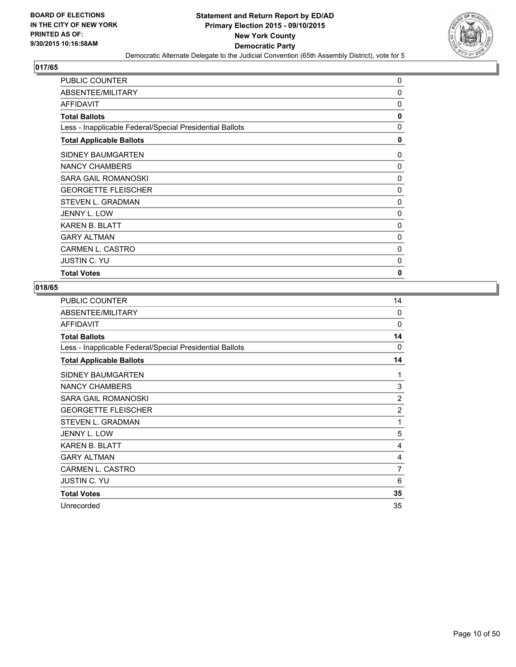

| PUBLIC COUNTER                                           | 0            |
|----------------------------------------------------------|--------------|
| ABSENTEE/MILITARY                                        | $\mathbf 0$  |
| AFFIDAVIT                                                | 0            |
| <b>Total Ballots</b>                                     | 0            |
| Less - Inapplicable Federal/Special Presidential Ballots | 0            |
| <b>Total Applicable Ballots</b>                          | 0            |
| SIDNEY BAUMGARTEN                                        | 0            |
| NANCY CHAMBERS                                           | 0            |
| SARA GAIL ROMANOSKI                                      | $\Omega$     |
| <b>GEORGETTE FLEISCHER</b>                               | 0            |
| STEVEN L. GRADMAN                                        | $\Omega$     |
| <b>JENNY L. LOW</b>                                      | 0            |
| <b>KAREN B. BLATT</b>                                    | 0            |
| <b>GARY ALTMAN</b>                                       | 0            |
| <b>CARMEN L. CASTRO</b>                                  | 0            |
| <b>JUSTIN C. YU</b>                                      | 0            |
| <b>Total Votes</b>                                       | $\mathbf{0}$ |

| <b>PUBLIC COUNTER</b>                                    | 14             |
|----------------------------------------------------------|----------------|
| ABSENTEE/MILITARY                                        | $\Omega$       |
| <b>AFFIDAVIT</b>                                         | 0              |
| <b>Total Ballots</b>                                     | 14             |
| Less - Inapplicable Federal/Special Presidential Ballots | $\Omega$       |
| <b>Total Applicable Ballots</b>                          | 14             |
| <b>SIDNEY BAUMGARTEN</b>                                 | 1              |
| <b>NANCY CHAMBERS</b>                                    | 3              |
| SARA GAIL ROMANOSKI                                      | $\overline{2}$ |
| <b>GEORGETTE FLEISCHER</b>                               | 2              |
| STEVEN L. GRADMAN                                        | 1              |
| JENNY L. LOW                                             | 5              |
| <b>KAREN B. BLATT</b>                                    | 4              |
| <b>GARY ALTMAN</b>                                       | 4              |
| <b>CARMEN L. CASTRO</b>                                  | 7              |
| <b>JUSTIN C. YU</b>                                      | 6              |
| <b>Total Votes</b>                                       | 35             |
| Unrecorded                                               | 35             |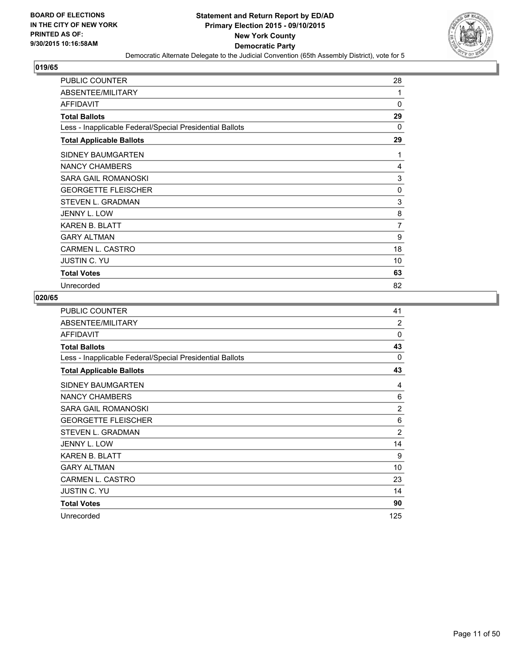

| <b>PUBLIC COUNTER</b>                                    | 28 |
|----------------------------------------------------------|----|
| ABSENTEE/MILITARY                                        | 1  |
| <b>AFFIDAVIT</b>                                         | 0  |
| <b>Total Ballots</b>                                     | 29 |
| Less - Inapplicable Federal/Special Presidential Ballots | 0  |
| <b>Total Applicable Ballots</b>                          | 29 |
| SIDNEY BAUMGARTEN                                        | 1  |
| NANCY CHAMBERS                                           | 4  |
| SARA GAIL ROMANOSKI                                      | 3  |
| <b>GEORGETTE FLEISCHER</b>                               | 0  |
| STEVEN L. GRADMAN                                        | 3  |
| <b>JENNY L. LOW</b>                                      | 8  |
| <b>KAREN B. BLATT</b>                                    | 7  |
| <b>GARY ALTMAN</b>                                       | 9  |
| <b>CARMEN L. CASTRO</b>                                  | 18 |
| <b>JUSTIN C. YU</b>                                      | 10 |
| <b>Total Votes</b>                                       | 63 |
| Unrecorded                                               | 82 |

| PUBLIC COUNTER                                           | 41             |
|----------------------------------------------------------|----------------|
| ABSENTEE/MILITARY                                        | $\overline{2}$ |
| <b>AFFIDAVIT</b>                                         | $\Omega$       |
| <b>Total Ballots</b>                                     | 43             |
| Less - Inapplicable Federal/Special Presidential Ballots | 0              |
| <b>Total Applicable Ballots</b>                          | 43             |
| SIDNEY BAUMGARTEN                                        | 4              |
| <b>NANCY CHAMBERS</b>                                    | 6              |
| SARA GAIL ROMANOSKI                                      | $\overline{2}$ |
| <b>GEORGETTE FLEISCHER</b>                               | 6              |
| <b>STEVEN L. GRADMAN</b>                                 | $\overline{2}$ |
| JENNY L. LOW                                             | 14             |
| <b>KAREN B. BLATT</b>                                    | 9              |
| <b>GARY ALTMAN</b>                                       | 10             |
| CARMEN L. CASTRO                                         | 23             |
| <b>JUSTIN C. YU</b>                                      | 14             |
| <b>Total Votes</b>                                       | 90             |
| Unrecorded                                               | 125            |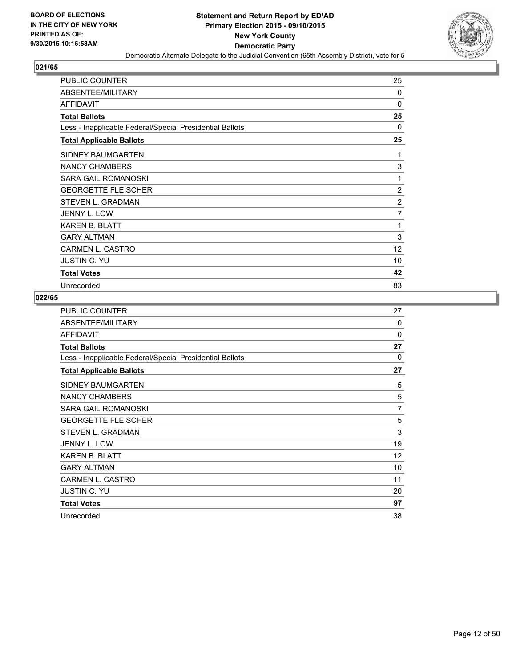

| <b>PUBLIC COUNTER</b>                                    | 25 |
|----------------------------------------------------------|----|
| ABSENTEE/MILITARY                                        | 0  |
| <b>AFFIDAVIT</b>                                         | 0  |
| <b>Total Ballots</b>                                     | 25 |
| Less - Inapplicable Federal/Special Presidential Ballots | 0  |
| <b>Total Applicable Ballots</b>                          | 25 |
| <b>SIDNEY BAUMGARTEN</b>                                 | 1  |
| NANCY CHAMBERS                                           | 3  |
| <b>SARA GAIL ROMANOSKI</b>                               | 1  |
| <b>GEORGETTE FLEISCHER</b>                               | 2  |
| STEVEN L. GRADMAN                                        | 2  |
| JENNY L. LOW                                             | 7  |
| <b>KAREN B. BLATT</b>                                    | 1  |
| <b>GARY ALTMAN</b>                                       | 3  |
| CARMEN L. CASTRO                                         | 12 |
| <b>JUSTIN C. YU</b>                                      | 10 |
| <b>Total Votes</b>                                       | 42 |
| Unrecorded                                               | 83 |

| <b>PUBLIC COUNTER</b>                                    | 27             |
|----------------------------------------------------------|----------------|
| ABSENTEE/MILITARY                                        | $\Omega$       |
| <b>AFFIDAVIT</b>                                         | $\Omega$       |
| <b>Total Ballots</b>                                     | 27             |
| Less - Inapplicable Federal/Special Presidential Ballots | $\Omega$       |
| <b>Total Applicable Ballots</b>                          | 27             |
| SIDNEY BAUMGARTEN                                        | 5              |
| <b>NANCY CHAMBERS</b>                                    | 5              |
| SARA GAIL ROMANOSKI                                      | $\overline{7}$ |
| <b>GEORGETTE FLEISCHER</b>                               | 5              |
| <b>STEVEN L. GRADMAN</b>                                 | 3              |
| JENNY L. LOW                                             | 19             |
| <b>KAREN B. BLATT</b>                                    | 12             |
| <b>GARY ALTMAN</b>                                       | 10             |
| CARMEN L. CASTRO                                         | 11             |
| <b>JUSTIN C. YU</b>                                      | 20             |
| <b>Total Votes</b>                                       | 97             |
| Unrecorded                                               | 38             |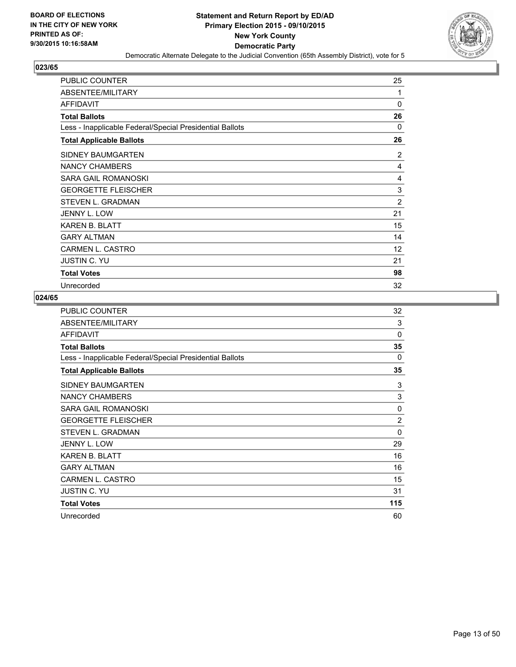

| <b>PUBLIC COUNTER</b>                                    | 25 |
|----------------------------------------------------------|----|
| ABSENTEE/MILITARY                                        | 1  |
| <b>AFFIDAVIT</b>                                         | 0  |
| <b>Total Ballots</b>                                     | 26 |
| Less - Inapplicable Federal/Special Presidential Ballots | 0  |
| <b>Total Applicable Ballots</b>                          | 26 |
| <b>SIDNEY BAUMGARTEN</b>                                 | 2  |
| NANCY CHAMBERS                                           | 4  |
| SARA GAIL ROMANOSKI                                      | 4  |
| <b>GEORGETTE FLEISCHER</b>                               | 3  |
| STEVEN L. GRADMAN                                        | 2  |
| <b>JENNY L. LOW</b>                                      | 21 |
| <b>KAREN B. BLATT</b>                                    | 15 |
| <b>GARY ALTMAN</b>                                       | 14 |
| <b>CARMEN L. CASTRO</b>                                  | 12 |
| <b>JUSTIN C. YU</b>                                      | 21 |
| <b>Total Votes</b>                                       | 98 |
| Unrecorded                                               | 32 |

| PUBLIC COUNTER                                           | 32             |
|----------------------------------------------------------|----------------|
| ABSENTEE/MILITARY                                        | 3              |
| <b>AFFIDAVIT</b>                                         | $\Omega$       |
| <b>Total Ballots</b>                                     | 35             |
| Less - Inapplicable Federal/Special Presidential Ballots | 0              |
| <b>Total Applicable Ballots</b>                          | 35             |
| SIDNEY BAUMGARTEN                                        | 3              |
| <b>NANCY CHAMBERS</b>                                    | 3              |
| SARA GAIL ROMANOSKI                                      | $\Omega$       |
| <b>GEORGETTE FLEISCHER</b>                               | $\overline{2}$ |
| STEVEN L. GRADMAN                                        | $\Omega$       |
| JENNY L. LOW                                             | 29             |
| <b>KAREN B. BLATT</b>                                    | 16             |
| <b>GARY ALTMAN</b>                                       | 16             |
| CARMEN L. CASTRO                                         | 15             |
| <b>JUSTIN C. YU</b>                                      | 31             |
| <b>Total Votes</b>                                       | 115            |
| Unrecorded                                               | 60             |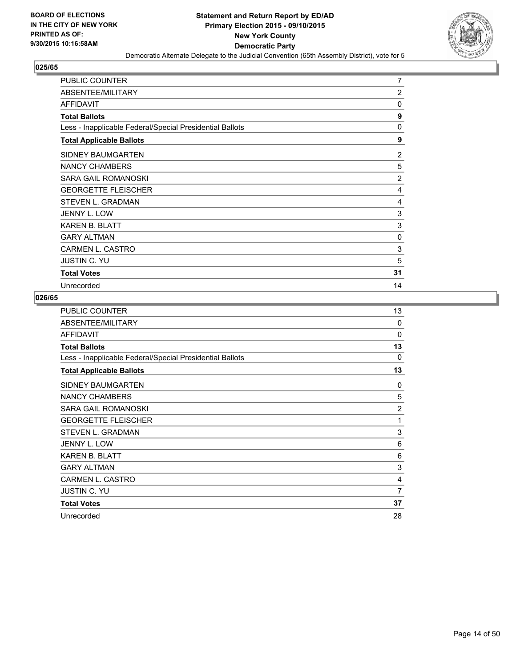

| <b>PUBLIC COUNTER</b>                                    | 7              |
|----------------------------------------------------------|----------------|
| ABSENTEE/MILITARY                                        | 2              |
| AFFIDAVIT                                                | 0              |
| <b>Total Ballots</b>                                     | 9              |
| Less - Inapplicable Federal/Special Presidential Ballots | 0              |
| <b>Total Applicable Ballots</b>                          | 9              |
| <b>SIDNEY BAUMGARTEN</b>                                 | 2              |
| NANCY CHAMBERS                                           | 5              |
| <b>SARA GAIL ROMANOSKI</b>                               | $\overline{2}$ |
| <b>GEORGETTE FLEISCHER</b>                               | 4              |
| STEVEN L. GRADMAN                                        | 4              |
| JENNY L. LOW                                             | 3              |
| <b>KAREN B. BLATT</b>                                    | 3              |
| <b>GARY ALTMAN</b>                                       | 0              |
| <b>CARMEN L. CASTRO</b>                                  | 3              |
| <b>JUSTIN C. YU</b>                                      | 5              |
| <b>Total Votes</b>                                       | 31             |
| Unrecorded                                               | 14             |

| PUBLIC COUNTER                                           | 13             |
|----------------------------------------------------------|----------------|
| ABSENTEE/MILITARY                                        | $\Omega$       |
| <b>AFFIDAVIT</b>                                         | $\Omega$       |
| <b>Total Ballots</b>                                     | 13             |
| Less - Inapplicable Federal/Special Presidential Ballots | $\Omega$       |
| <b>Total Applicable Ballots</b>                          | 13             |
| SIDNEY BAUMGARTEN                                        | 0              |
| <b>NANCY CHAMBERS</b>                                    | 5              |
| SARA GAIL ROMANOSKI                                      | $\overline{2}$ |
| <b>GEORGETTE FLEISCHER</b>                               | 1              |
| <b>STEVEN L. GRADMAN</b>                                 | 3              |
| JENNY L. LOW                                             | 6              |
| <b>KAREN B. BLATT</b>                                    | 6              |
| <b>GARY ALTMAN</b>                                       | 3              |
| CARMEN L. CASTRO                                         | 4              |
| <b>JUSTIN C. YU</b>                                      | 7              |
| <b>Total Votes</b>                                       | 37             |
| Unrecorded                                               | 28             |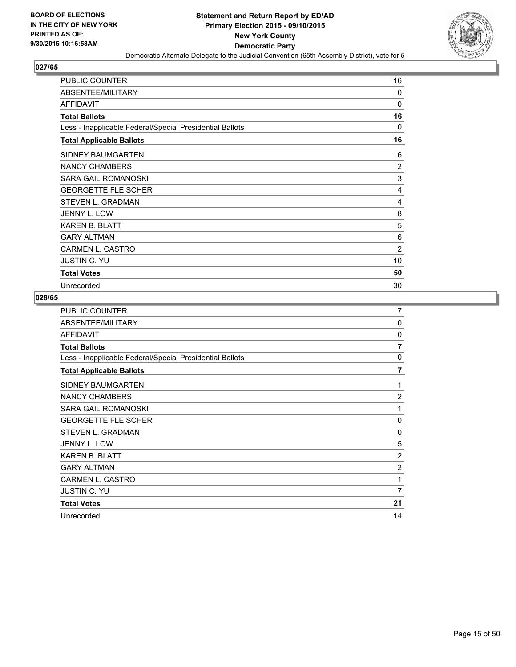

| <b>PUBLIC COUNTER</b>                                    | 16             |
|----------------------------------------------------------|----------------|
| ABSENTEE/MILITARY                                        | $\Omega$       |
| <b>AFFIDAVIT</b>                                         | $\Omega$       |
| <b>Total Ballots</b>                                     | 16             |
| Less - Inapplicable Federal/Special Presidential Ballots | 0              |
| <b>Total Applicable Ballots</b>                          | 16             |
| SIDNEY BAUMGARTEN                                        | 6              |
| NANCY CHAMBERS                                           | $\overline{2}$ |
| SARA GAIL ROMANOSKI                                      | 3              |
| <b>GEORGETTE FLEISCHER</b>                               | 4              |
| STEVEN L. GRADMAN                                        | 4              |
| JENNY L. LOW                                             | 8              |
| <b>KAREN B. BLATT</b>                                    | 5              |
| <b>GARY ALTMAN</b>                                       | 6              |
| <b>CARMEN L. CASTRO</b>                                  | 2              |
| <b>JUSTIN C. YU</b>                                      | 10             |
| <b>Total Votes</b>                                       | 50             |
| Unrecorded                                               | 30             |

| PUBLIC COUNTER                                           | 7              |
|----------------------------------------------------------|----------------|
| ABSENTEE/MILITARY                                        | $\Omega$       |
| <b>AFFIDAVIT</b>                                         | 0              |
| <b>Total Ballots</b>                                     | $\overline{7}$ |
| Less - Inapplicable Federal/Special Presidential Ballots | 0              |
| <b>Total Applicable Ballots</b>                          | $\overline{7}$ |
| <b>SIDNEY BAUMGARTEN</b>                                 | 1              |
| <b>NANCY CHAMBERS</b>                                    | 2              |
| <b>SARA GAIL ROMANOSKI</b>                               | 1              |
| <b>GEORGETTE FLEISCHER</b>                               | $\Omega$       |
| <b>STEVEN L. GRADMAN</b>                                 | 0              |
| <b>JENNY L. LOW</b>                                      | 5              |
| <b>KAREN B. BLATT</b>                                    | $\overline{c}$ |
| <b>GARY ALTMAN</b>                                       | $\overline{2}$ |
| CARMEN L. CASTRO                                         | 1              |
| <b>JUSTIN C. YU</b>                                      | 7              |
| <b>Total Votes</b>                                       | 21             |
| Unrecorded                                               | 14             |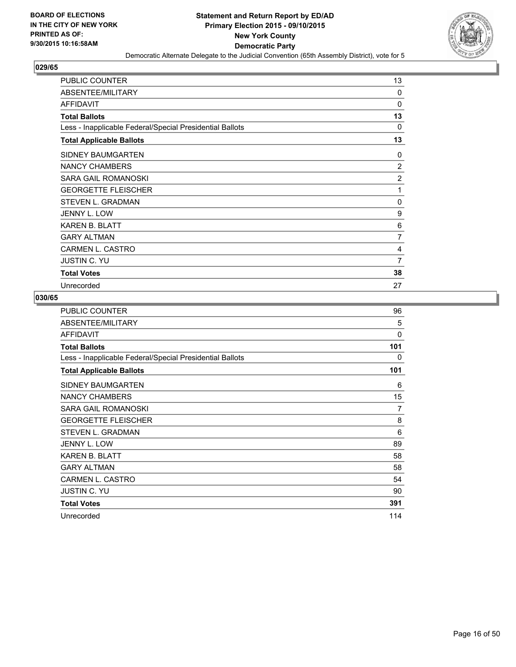

| <b>PUBLIC COUNTER</b>                                    | 13             |
|----------------------------------------------------------|----------------|
| ABSENTEE/MILITARY                                        | 0              |
| <b>AFFIDAVIT</b>                                         | 0              |
| <b>Total Ballots</b>                                     | 13             |
| Less - Inapplicable Federal/Special Presidential Ballots | 0              |
| <b>Total Applicable Ballots</b>                          | 13             |
| <b>SIDNEY BAUMGARTEN</b>                                 | 0              |
| NANCY CHAMBERS                                           | 2              |
| <b>SARA GAIL ROMANOSKI</b>                               | $\overline{2}$ |
| <b>GEORGETTE FLEISCHER</b>                               | 1              |
| STEVEN L. GRADMAN                                        | 0              |
| JENNY L. LOW                                             | 9              |
| <b>KAREN B. BLATT</b>                                    | 6              |
| <b>GARY ALTMAN</b>                                       | 7              |
| <b>CARMEN L. CASTRO</b>                                  | 4              |
| <b>JUSTIN C. YU</b>                                      | 7              |
| <b>Total Votes</b>                                       | 38             |
| Unrecorded                                               | 27             |

| <b>PUBLIC COUNTER</b>                                    | 96  |
|----------------------------------------------------------|-----|
| ABSENTEE/MILITARY                                        | 5   |
| <b>AFFIDAVIT</b>                                         | 0   |
| <b>Total Ballots</b>                                     | 101 |
| Less - Inapplicable Federal/Special Presidential Ballots | 0   |
| <b>Total Applicable Ballots</b>                          | 101 |
| SIDNEY BAUMGARTEN                                        | 6   |
| <b>NANCY CHAMBERS</b>                                    | 15  |
| SARA GAIL ROMANOSKI                                      | 7   |
| <b>GEORGETTE FLEISCHER</b>                               | 8   |
| <b>STEVEN L. GRADMAN</b>                                 | 6   |
| <b>JENNY L. LOW</b>                                      | 89  |
| <b>KAREN B. BLATT</b>                                    | 58  |
| <b>GARY ALTMAN</b>                                       | 58  |
| <b>CARMEN L. CASTRO</b>                                  | 54  |
| <b>JUSTIN C. YU</b>                                      | 90  |
| <b>Total Votes</b>                                       | 391 |
| Unrecorded                                               | 114 |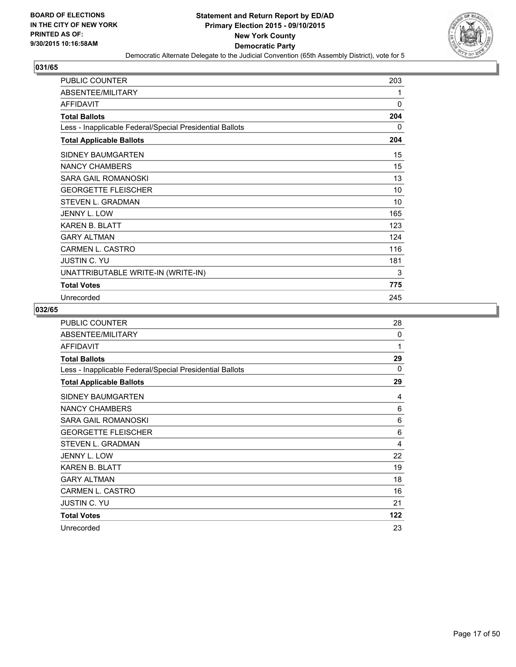

| <b>PUBLIC COUNTER</b>                                    | 203 |
|----------------------------------------------------------|-----|
| ABSENTEE/MILITARY                                        | 1   |
| <b>AFFIDAVIT</b>                                         | 0   |
| <b>Total Ballots</b>                                     | 204 |
| Less - Inapplicable Federal/Special Presidential Ballots | 0   |
| <b>Total Applicable Ballots</b>                          | 204 |
| <b>SIDNEY BAUMGARTEN</b>                                 | 15  |
| <b>NANCY CHAMBERS</b>                                    | 15  |
| <b>SARA GAIL ROMANOSKI</b>                               | 13  |
| <b>GEORGETTE FLEISCHER</b>                               | 10  |
| <b>STEVEN L. GRADMAN</b>                                 | 10  |
| JENNY L. LOW                                             | 165 |
| <b>KAREN B. BLATT</b>                                    | 123 |
| <b>GARY ALTMAN</b>                                       | 124 |
| <b>CARMEN L. CASTRO</b>                                  | 116 |
| <b>JUSTIN C. YU</b>                                      | 181 |
| UNATTRIBUTABLE WRITE-IN (WRITE-IN)                       | 3   |
| <b>Total Votes</b>                                       | 775 |
| Unrecorded                                               | 245 |

| <b>PUBLIC COUNTER</b>                                    | 28       |
|----------------------------------------------------------|----------|
| ABSENTEE/MILITARY                                        | $\Omega$ |
| <b>AFFIDAVIT</b>                                         | 1        |
| <b>Total Ballots</b>                                     | 29       |
| Less - Inapplicable Federal/Special Presidential Ballots | $\Omega$ |
| <b>Total Applicable Ballots</b>                          | 29       |
| SIDNEY BAUMGARTEN                                        | 4        |
| <b>NANCY CHAMBERS</b>                                    | 6        |
| SARA GAIL ROMANOSKI                                      | 6        |
| <b>GEORGETTE FLEISCHER</b>                               | 6        |
| <b>STEVEN L. GRADMAN</b>                                 | 4        |
| <b>JENNY L. LOW</b>                                      | 22       |
| <b>KAREN B. BLATT</b>                                    | 19       |
| <b>GARY ALTMAN</b>                                       | 18       |
| <b>CARMEN L. CASTRO</b>                                  | 16       |
| <b>JUSTIN C. YU</b>                                      | 21       |
| <b>Total Votes</b>                                       | 122      |
| Unrecorded                                               | 23       |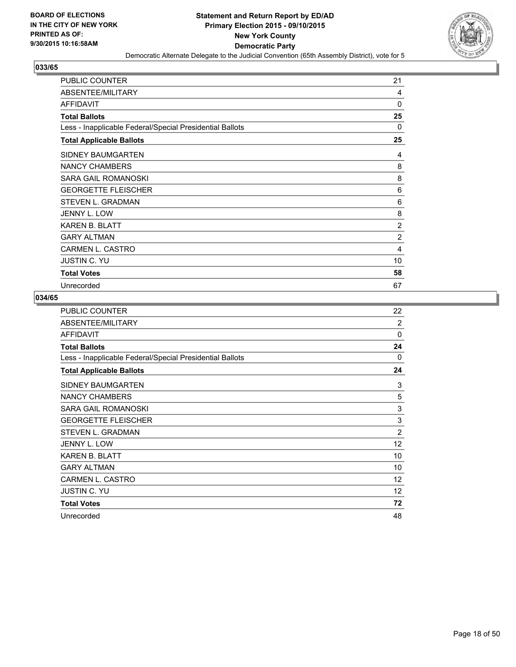

| <b>PUBLIC COUNTER</b>                                    | 21 |
|----------------------------------------------------------|----|
| ABSENTEE/MILITARY                                        | 4  |
| AFFIDAVIT                                                | 0  |
| <b>Total Ballots</b>                                     | 25 |
| Less - Inapplicable Federal/Special Presidential Ballots | 0  |
| <b>Total Applicable Ballots</b>                          | 25 |
| <b>SIDNEY BAUMGARTEN</b>                                 | 4  |
| NANCY CHAMBERS                                           | 8  |
| SARA GAIL ROMANOSKI                                      | 8  |
| <b>GEORGETTE FLEISCHER</b>                               | 6  |
| STEVEN L. GRADMAN                                        | 6  |
| JENNY L. LOW                                             | 8  |
| <b>KAREN B. BLATT</b>                                    | 2  |
| <b>GARY ALTMAN</b>                                       | 2  |
| <b>CARMEN L. CASTRO</b>                                  | 4  |
| <b>JUSTIN C. YU</b>                                      | 10 |
| <b>Total Votes</b>                                       | 58 |
| Unrecorded                                               | 67 |

| <b>PUBLIC COUNTER</b>                                    | 22             |
|----------------------------------------------------------|----------------|
| ABSENTEE/MILITARY                                        | $\overline{2}$ |
| <b>AFFIDAVIT</b>                                         | $\Omega$       |
| <b>Total Ballots</b>                                     | 24             |
| Less - Inapplicable Federal/Special Presidential Ballots | $\mathbf{0}$   |
| <b>Total Applicable Ballots</b>                          | 24             |
| SIDNEY BAUMGARTEN                                        | 3              |
| <b>NANCY CHAMBERS</b>                                    | 5              |
| SARA GAIL ROMANOSKI                                      | 3              |
| <b>GEORGETTE FLEISCHER</b>                               | 3              |
| <b>STEVEN L. GRADMAN</b>                                 | $\overline{2}$ |
| JENNY L. LOW                                             | 12             |
| <b>KAREN B. BLATT</b>                                    | 10             |
| <b>GARY ALTMAN</b>                                       | 10             |
| CARMEN L. CASTRO                                         | 12             |
| <b>JUSTIN C. YU</b>                                      | 12             |
| <b>Total Votes</b>                                       | 72             |
| Unrecorded                                               | 48             |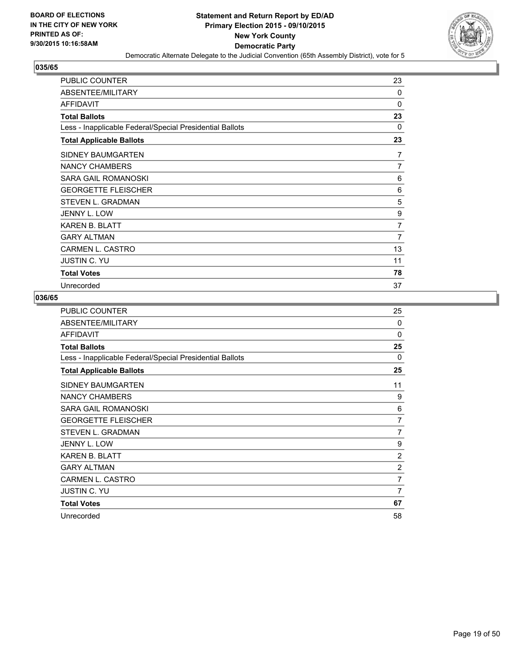

| <b>PUBLIC COUNTER</b>                                    | 23             |
|----------------------------------------------------------|----------------|
| ABSENTEE/MILITARY                                        | 0              |
| <b>AFFIDAVIT</b>                                         | 0              |
| <b>Total Ballots</b>                                     | 23             |
| Less - Inapplicable Federal/Special Presidential Ballots | 0              |
| <b>Total Applicable Ballots</b>                          | 23             |
| SIDNEY BAUMGARTEN                                        | 7              |
| <b>NANCY CHAMBERS</b>                                    | $\overline{7}$ |
| SARA GAIL ROMANOSKI                                      | 6              |
| <b>GEORGETTE FLEISCHER</b>                               | 6              |
| STEVEN L. GRADMAN                                        | 5              |
| <b>JENNY L. LOW</b>                                      | 9              |
| <b>KAREN B. BLATT</b>                                    | 7              |
| <b>GARY ALTMAN</b>                                       | 7              |
| <b>CARMEN L. CASTRO</b>                                  | 13             |
| <b>JUSTIN C. YU</b>                                      | 11             |
| <b>Total Votes</b>                                       | 78             |
| Unrecorded                                               | 37             |

| PUBLIC COUNTER                                           | 25             |
|----------------------------------------------------------|----------------|
| ABSENTEE/MILITARY                                        | $\Omega$       |
| <b>AFFIDAVIT</b>                                         | $\Omega$       |
| <b>Total Ballots</b>                                     | 25             |
| Less - Inapplicable Federal/Special Presidential Ballots | 0              |
| <b>Total Applicable Ballots</b>                          | 25             |
| SIDNEY BAUMGARTEN                                        | 11             |
| <b>NANCY CHAMBERS</b>                                    | 9              |
| SARA GAIL ROMANOSKI                                      | 6              |
| <b>GEORGETTE FLEISCHER</b>                               | 7              |
| <b>STEVEN L. GRADMAN</b>                                 | 7              |
| JENNY L. LOW                                             | 9              |
| <b>KAREN B. BLATT</b>                                    | $\overline{2}$ |
| <b>GARY ALTMAN</b>                                       | $\overline{2}$ |
| CARMEN L. CASTRO                                         | $\overline{7}$ |
| <b>JUSTIN C. YU</b>                                      | 7              |
| <b>Total Votes</b>                                       | 67             |
| Unrecorded                                               | 58             |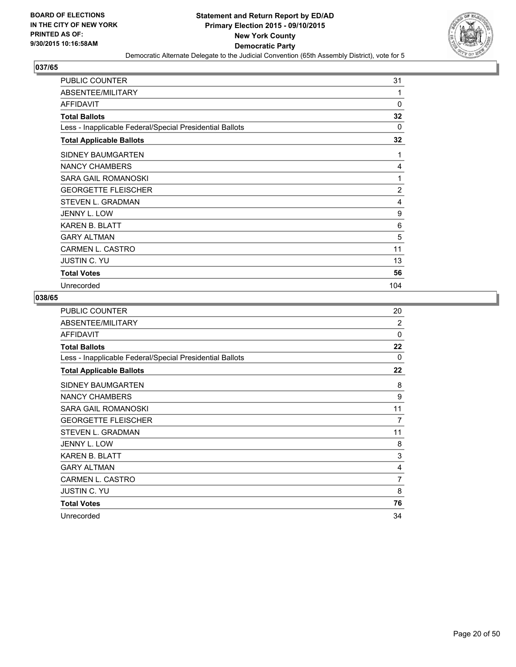

| <b>PUBLIC COUNTER</b>                                    | 31  |
|----------------------------------------------------------|-----|
| ABSENTEE/MILITARY                                        | 1   |
| <b>AFFIDAVIT</b>                                         | 0   |
| <b>Total Ballots</b>                                     | 32  |
| Less - Inapplicable Federal/Special Presidential Ballots | 0   |
| <b>Total Applicable Ballots</b>                          | 32  |
| <b>SIDNEY BAUMGARTEN</b>                                 | 1   |
| NANCY CHAMBERS                                           | 4   |
| SARA GAIL ROMANOSKI                                      | 1   |
| <b>GEORGETTE FLEISCHER</b>                               | 2   |
| STEVEN L. GRADMAN                                        | 4   |
| JENNY L. LOW                                             | 9   |
| <b>KAREN B. BLATT</b>                                    | 6   |
| <b>GARY ALTMAN</b>                                       | 5   |
| <b>CARMEN L. CASTRO</b>                                  | 11  |
| <b>JUSTIN C. YU</b>                                      | 13  |
| <b>Total Votes</b>                                       | 56  |
| Unrecorded                                               | 104 |

| PUBLIC COUNTER                                           | 20             |
|----------------------------------------------------------|----------------|
| ABSENTEE/MILITARY                                        | $\overline{2}$ |
| <b>AFFIDAVIT</b>                                         | 0              |
| <b>Total Ballots</b>                                     | 22             |
| Less - Inapplicable Federal/Special Presidential Ballots | 0              |
| <b>Total Applicable Ballots</b>                          | 22             |
| SIDNEY BAUMGARTEN                                        | 8              |
| <b>NANCY CHAMBERS</b>                                    | 9              |
| SARA GAIL ROMANOSKI                                      | 11             |
| <b>GEORGETTE FLEISCHER</b>                               | 7              |
| <b>STEVEN L. GRADMAN</b>                                 | 11             |
| JENNY L. LOW                                             | 8              |
| <b>KAREN B. BLATT</b>                                    | 3              |
| <b>GARY ALTMAN</b>                                       | 4              |
| CARMEN L. CASTRO                                         | $\overline{7}$ |
| <b>JUSTIN C. YU</b>                                      | 8              |
| <b>Total Votes</b>                                       | 76             |
| Unrecorded                                               | 34             |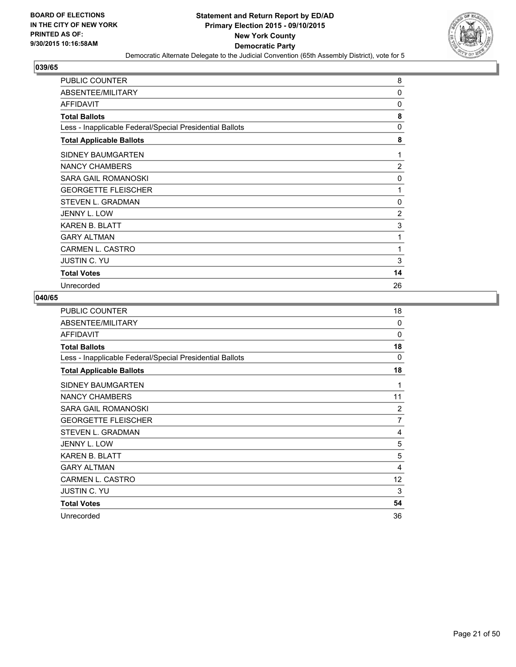

| <b>PUBLIC COUNTER</b>                                    | 8              |
|----------------------------------------------------------|----------------|
| ABSENTEE/MILITARY                                        | 0              |
| <b>AFFIDAVIT</b>                                         | 0              |
| <b>Total Ballots</b>                                     | 8              |
| Less - Inapplicable Federal/Special Presidential Ballots | $\mathbf{0}$   |
| <b>Total Applicable Ballots</b>                          | 8              |
| SIDNEY BAUMGARTEN                                        | 1              |
| NANCY CHAMBERS                                           | $\overline{2}$ |
| SARA GAIL ROMANOSKI                                      | 0              |
| <b>GEORGETTE FLEISCHER</b>                               | 1              |
| STEVEN L. GRADMAN                                        | 0              |
| JENNY L. LOW                                             | 2              |
| <b>KAREN B. BLATT</b>                                    | 3              |
| <b>GARY ALTMAN</b>                                       | 1              |
| <b>CARMEN L. CASTRO</b>                                  | 1              |
| <b>JUSTIN C. YU</b>                                      | 3              |
| <b>Total Votes</b>                                       | 14             |
| Unrecorded                                               | 26             |

| PUBLIC COUNTER                                           | 18       |
|----------------------------------------------------------|----------|
| ABSENTEE/MILITARY                                        | $\Omega$ |
| <b>AFFIDAVIT</b>                                         | $\Omega$ |
| <b>Total Ballots</b>                                     | 18       |
| Less - Inapplicable Federal/Special Presidential Ballots | 0        |
| <b>Total Applicable Ballots</b>                          | 18       |
| SIDNEY BAUMGARTEN                                        | 1        |
| <b>NANCY CHAMBERS</b>                                    | 11       |
| SARA GAIL ROMANOSKI                                      | 2        |
| <b>GEORGETTE FLEISCHER</b>                               | 7        |
| STEVEN L. GRADMAN                                        | 4        |
| JENNY L. LOW                                             | 5        |
| KAREN B. BLATT                                           | 5        |
| <b>GARY ALTMAN</b>                                       | 4        |
| CARMEN L. CASTRO                                         | 12       |
| <b>JUSTIN C. YU</b>                                      | 3        |
| <b>Total Votes</b>                                       | 54       |
| Unrecorded                                               | 36       |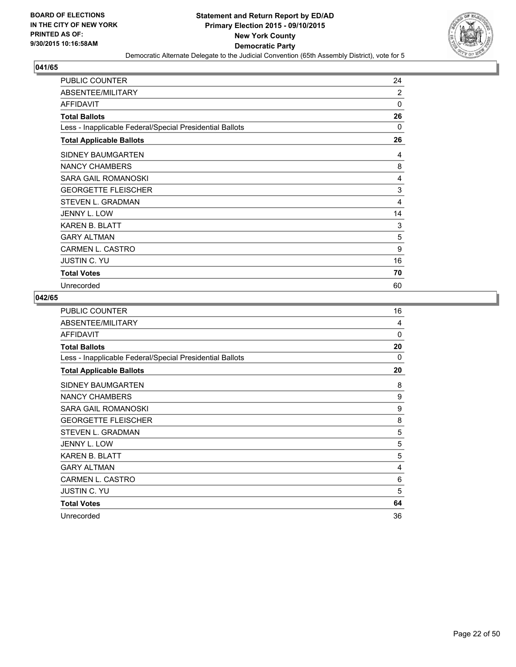

| <b>PUBLIC COUNTER</b>                                    | 24 |
|----------------------------------------------------------|----|
| ABSENTEE/MILITARY                                        | 2  |
| <b>AFFIDAVIT</b>                                         | 0  |
| <b>Total Ballots</b>                                     | 26 |
| Less - Inapplicable Federal/Special Presidential Ballots | 0  |
| <b>Total Applicable Ballots</b>                          | 26 |
| SIDNEY BAUMGARTEN                                        | 4  |
| NANCY CHAMBERS                                           | 8  |
| SARA GAIL ROMANOSKI                                      | 4  |
| <b>GEORGETTE FLEISCHER</b>                               | 3  |
| STEVEN L. GRADMAN                                        | 4  |
| <b>JENNY L. LOW</b>                                      | 14 |
| <b>KAREN B. BLATT</b>                                    | 3  |
| <b>GARY ALTMAN</b>                                       | 5  |
| CARMEN L. CASTRO                                         | 9  |
| <b>JUSTIN C. YU</b>                                      | 16 |
| <b>Total Votes</b>                                       | 70 |
| Unrecorded                                               | 60 |

| <b>PUBLIC COUNTER</b>                                    | 16       |
|----------------------------------------------------------|----------|
| ABSENTEE/MILITARY                                        | 4        |
| <b>AFFIDAVIT</b>                                         | $\Omega$ |
| <b>Total Ballots</b>                                     | 20       |
| Less - Inapplicable Federal/Special Presidential Ballots | $\Omega$ |
| <b>Total Applicable Ballots</b>                          | 20       |
| SIDNEY BAUMGARTEN                                        | 8        |
| <b>NANCY CHAMBERS</b>                                    | 9        |
| SARA GAIL ROMANOSKI                                      | 9        |
| <b>GEORGETTE FLEISCHER</b>                               | 8        |
| <b>STEVEN L. GRADMAN</b>                                 | 5        |
| JENNY L. LOW                                             | 5        |
| <b>KAREN B. BLATT</b>                                    | 5        |
| <b>GARY ALTMAN</b>                                       | 4        |
| CARMEN L. CASTRO                                         | 6        |
| <b>JUSTIN C. YU</b>                                      | 5        |
| <b>Total Votes</b>                                       | 64       |
| Unrecorded                                               | 36       |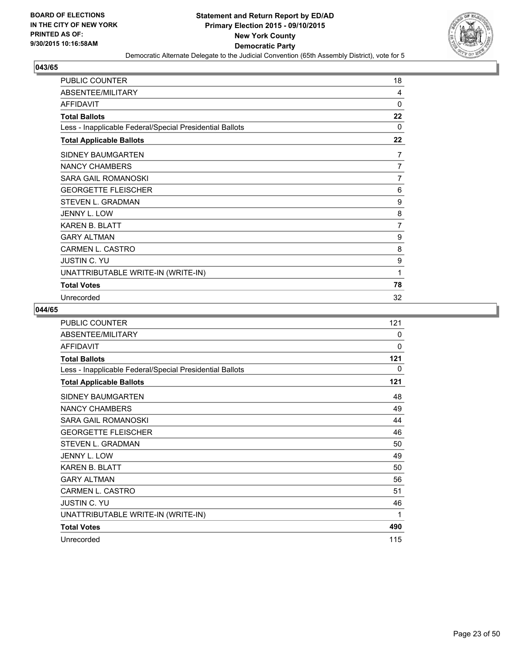

| <b>PUBLIC COUNTER</b>                                    | 18             |
|----------------------------------------------------------|----------------|
| ABSENTEE/MILITARY                                        | $\overline{4}$ |
| <b>AFFIDAVIT</b>                                         | 0              |
| <b>Total Ballots</b>                                     | 22             |
| Less - Inapplicable Federal/Special Presidential Ballots | 0              |
| <b>Total Applicable Ballots</b>                          | 22             |
| SIDNEY BAUMGARTEN                                        | 7              |
| <b>NANCY CHAMBERS</b>                                    | 7              |
| <b>SARA GAIL ROMANOSKI</b>                               | $\overline{7}$ |
| <b>GEORGETTE FLEISCHER</b>                               | 6              |
| <b>STEVEN L. GRADMAN</b>                                 | 9              |
| JENNY L. LOW                                             | 8              |
| <b>KAREN B. BLATT</b>                                    | 7              |
| <b>GARY ALTMAN</b>                                       | 9              |
| <b>CARMEN L. CASTRO</b>                                  | 8              |
| <b>JUSTIN C. YU</b>                                      | 9              |
| UNATTRIBUTABLE WRITE-IN (WRITE-IN)                       | 1              |
| <b>Total Votes</b>                                       | 78             |
| Unrecorded                                               | 32             |

| <b>PUBLIC COUNTER</b>                                    | 121          |
|----------------------------------------------------------|--------------|
| ABSENTEE/MILITARY                                        | $\mathbf{0}$ |
| <b>AFFIDAVIT</b>                                         | $\Omega$     |
| <b>Total Ballots</b>                                     | 121          |
| Less - Inapplicable Federal/Special Presidential Ballots | 0            |
| <b>Total Applicable Ballots</b>                          | 121          |
| SIDNEY BAUMGARTEN                                        | 48           |
| <b>NANCY CHAMBERS</b>                                    | 49           |
| SARA GAIL ROMANOSKI                                      | 44           |
| <b>GEORGETTE FLEISCHER</b>                               | 46           |
| <b>STEVEN L. GRADMAN</b>                                 | 50           |
| <b>JENNY L. LOW</b>                                      | 49           |
| <b>KAREN B. BLATT</b>                                    | 50           |
| <b>GARY ALTMAN</b>                                       | 56           |
| <b>CARMEN L. CASTRO</b>                                  | 51           |
| <b>JUSTIN C. YU</b>                                      | 46           |
| UNATTRIBUTABLE WRITE-IN (WRITE-IN)                       | 1            |
| <b>Total Votes</b>                                       | 490          |
| Unrecorded                                               | 115          |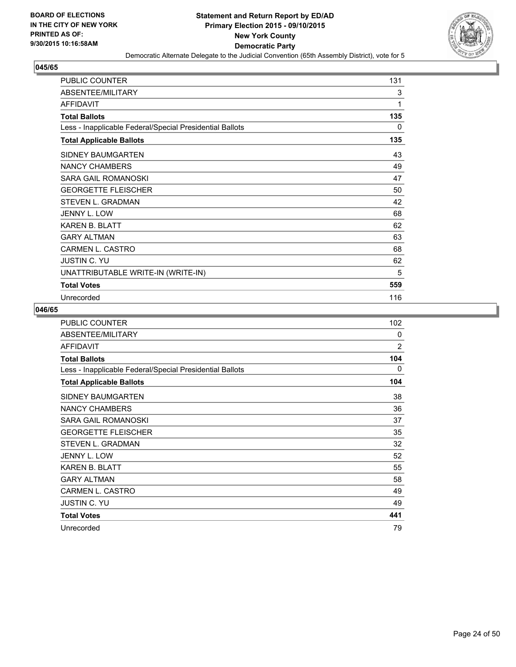

| <b>PUBLIC COUNTER</b>                                    | 131 |
|----------------------------------------------------------|-----|
| ABSENTEE/MILITARY                                        | 3   |
| <b>AFFIDAVIT</b>                                         | 1   |
| <b>Total Ballots</b>                                     | 135 |
| Less - Inapplicable Federal/Special Presidential Ballots | 0   |
| <b>Total Applicable Ballots</b>                          | 135 |
| <b>SIDNEY BAUMGARTEN</b>                                 | 43  |
| <b>NANCY CHAMBERS</b>                                    | 49  |
| <b>SARA GAIL ROMANOSKI</b>                               | 47  |
| <b>GEORGETTE FLEISCHER</b>                               | 50  |
| <b>STEVEN L. GRADMAN</b>                                 | 42  |
| JENNY L. LOW                                             | 68  |
| <b>KAREN B. BLATT</b>                                    | 62  |
| <b>GARY ALTMAN</b>                                       | 63  |
| <b>CARMEN L. CASTRO</b>                                  | 68  |
| <b>JUSTIN C. YU</b>                                      | 62  |
| UNATTRIBUTABLE WRITE-IN (WRITE-IN)                       | 5   |
| <b>Total Votes</b>                                       | 559 |
| Unrecorded                                               | 116 |

| <b>PUBLIC COUNTER</b>                                    | 102 |
|----------------------------------------------------------|-----|
| ABSENTEE/MILITARY                                        | 0   |
| <b>AFFIDAVIT</b>                                         | 2   |
| <b>Total Ballots</b>                                     | 104 |
| Less - Inapplicable Federal/Special Presidential Ballots | 0   |
| <b>Total Applicable Ballots</b>                          | 104 |
| SIDNEY BAUMGARTEN                                        | 38  |
| <b>NANCY CHAMBERS</b>                                    | 36  |
| SARA GAIL ROMANOSKI                                      | 37  |
| <b>GEORGETTE FLEISCHER</b>                               | 35  |
| STEVEN L. GRADMAN                                        | 32  |
| <b>JENNY L. LOW</b>                                      | 52  |
| <b>KAREN B. BLATT</b>                                    | 55  |
| <b>GARY ALTMAN</b>                                       | 58  |
| <b>CARMEN L. CASTRO</b>                                  | 49  |
| <b>JUSTIN C. YU</b>                                      | 49  |
| <b>Total Votes</b>                                       | 441 |
| Unrecorded                                               | 79  |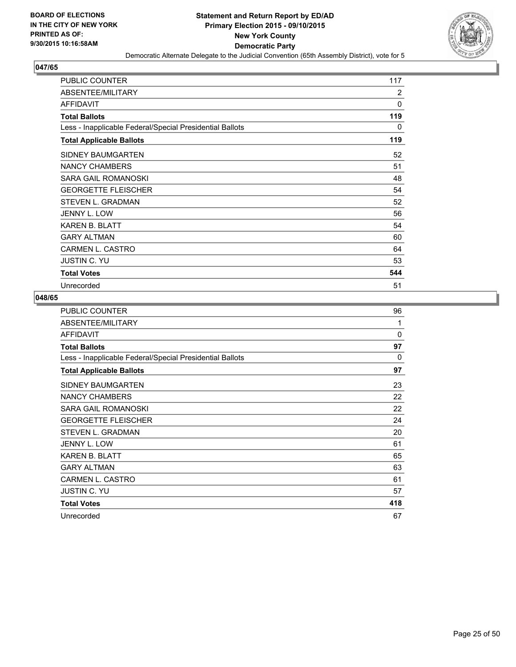

| PUBLIC COUNTER                                           | 117          |
|----------------------------------------------------------|--------------|
| ABSENTEE/MILITARY                                        | 2            |
| <b>AFFIDAVIT</b>                                         | $\mathbf{0}$ |
| <b>Total Ballots</b>                                     | 119          |
| Less - Inapplicable Federal/Special Presidential Ballots | 0            |
| <b>Total Applicable Ballots</b>                          | 119          |
| SIDNEY BAUMGARTEN                                        | 52           |
| NANCY CHAMBERS                                           | 51           |
| SARA GAIL ROMANOSKI                                      | 48           |
| <b>GEORGETTE FLEISCHER</b>                               | 54           |
| STEVEN L. GRADMAN                                        | 52           |
| JENNY L. LOW                                             | 56           |
| <b>KAREN B. BLATT</b>                                    | 54           |
| <b>GARY ALTMAN</b>                                       | 60           |
| CARMEN L. CASTRO                                         | 64           |
| <b>JUSTIN C. YU</b>                                      | 53           |
| <b>Total Votes</b>                                       | 544          |
| Unrecorded                                               | 51           |

| PUBLIC COUNTER                                           | 96       |
|----------------------------------------------------------|----------|
| ABSENTEE/MILITARY                                        | 1        |
| <b>AFFIDAVIT</b>                                         | $\Omega$ |
| <b>Total Ballots</b>                                     | 97       |
| Less - Inapplicable Federal/Special Presidential Ballots | 0        |
| <b>Total Applicable Ballots</b>                          | 97       |
| SIDNEY BAUMGARTEN                                        | 23       |
| <b>NANCY CHAMBERS</b>                                    | 22       |
| SARA GAIL ROMANOSKI                                      | 22       |
| <b>GEORGETTE FLEISCHER</b>                               | 24       |
| STEVEN L. GRADMAN                                        | 20       |
| JENNY L. LOW                                             | 61       |
| <b>KAREN B. BLATT</b>                                    | 65       |
| <b>GARY ALTMAN</b>                                       | 63       |
| CARMEN L. CASTRO                                         | 61       |
| <b>JUSTIN C. YU</b>                                      | 57       |
| <b>Total Votes</b>                                       | 418      |
| Unrecorded                                               | 67       |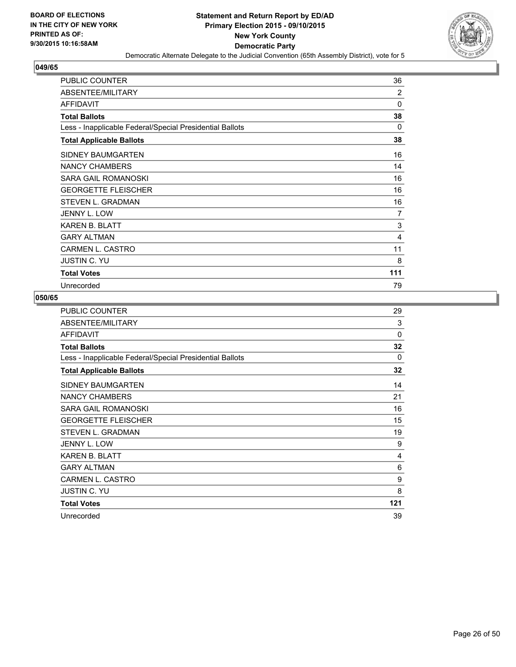

| <b>PUBLIC COUNTER</b>                                    | 36  |
|----------------------------------------------------------|-----|
| ABSENTEE/MILITARY                                        | 2   |
| <b>AFFIDAVIT</b>                                         | 0   |
| <b>Total Ballots</b>                                     | 38  |
| Less - Inapplicable Federal/Special Presidential Ballots | 0   |
| <b>Total Applicable Ballots</b>                          | 38  |
| SIDNEY BAUMGARTEN                                        | 16  |
| NANCY CHAMBERS                                           | 14  |
| SARA GAIL ROMANOSKI                                      | 16  |
| <b>GEORGETTE FLEISCHER</b>                               | 16  |
| STEVEN L. GRADMAN                                        | 16  |
| <b>JENNY L. LOW</b>                                      | 7   |
| <b>KAREN B. BLATT</b>                                    | 3   |
| <b>GARY ALTMAN</b>                                       | 4   |
| CARMEN L. CASTRO                                         | 11  |
| <b>JUSTIN C. YU</b>                                      | 8   |
| <b>Total Votes</b>                                       | 111 |
| Unrecorded                                               | 79  |

| PUBLIC COUNTER                                           | 29       |
|----------------------------------------------------------|----------|
| ABSENTEE/MILITARY                                        | 3        |
| <b>AFFIDAVIT</b>                                         | $\Omega$ |
| <b>Total Ballots</b>                                     | 32       |
| Less - Inapplicable Federal/Special Presidential Ballots | 0        |
| <b>Total Applicable Ballots</b>                          | 32       |
| SIDNEY BAUMGARTEN                                        | 14       |
| <b>NANCY CHAMBERS</b>                                    | 21       |
| SARA GAIL ROMANOSKI                                      | 16       |
| <b>GEORGETTE FLEISCHER</b>                               | 15       |
| STEVEN L. GRADMAN                                        | 19       |
| JENNY L. LOW                                             | 9        |
| KAREN B. BLATT                                           | 4        |
| <b>GARY ALTMAN</b>                                       | 6        |
| CARMEN L. CASTRO                                         | 9        |
| <b>JUSTIN C. YU</b>                                      | 8        |
| <b>Total Votes</b>                                       | 121      |
| Unrecorded                                               | 39       |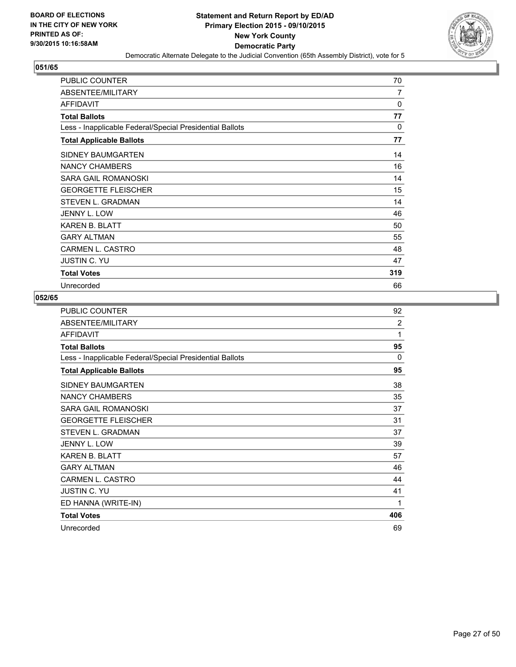

| <b>PUBLIC COUNTER</b>                                    | 70  |
|----------------------------------------------------------|-----|
| ABSENTEE/MILITARY                                        | 7   |
| <b>AFFIDAVIT</b>                                         | 0   |
| <b>Total Ballots</b>                                     | 77  |
| Less - Inapplicable Federal/Special Presidential Ballots | 0   |
| <b>Total Applicable Ballots</b>                          | 77  |
| <b>SIDNEY BAUMGARTEN</b>                                 | 14  |
| NANCY CHAMBERS                                           | 16  |
| SARA GAIL ROMANOSKI                                      | 14  |
| <b>GEORGETTE FLEISCHER</b>                               | 15  |
| STEVEN L. GRADMAN                                        | 14  |
| <b>JENNY L. LOW</b>                                      | 46  |
| <b>KAREN B. BLATT</b>                                    | 50  |
| <b>GARY ALTMAN</b>                                       | 55  |
| CARMEN L. CASTRO                                         | 48  |
| <b>JUSTIN C. YU</b>                                      | 47  |
| <b>Total Votes</b>                                       | 319 |
| Unrecorded                                               | 66  |

| <b>PUBLIC COUNTER</b>                                    | 92             |
|----------------------------------------------------------|----------------|
| ABSENTEE/MILITARY                                        | $\overline{2}$ |
| <b>AFFIDAVIT</b>                                         | 1              |
| <b>Total Ballots</b>                                     | 95             |
| Less - Inapplicable Federal/Special Presidential Ballots | $\Omega$       |
| <b>Total Applicable Ballots</b>                          | 95             |
| SIDNEY BAUMGARTEN                                        | 38             |
| <b>NANCY CHAMBERS</b>                                    | 35             |
| SARA GAIL ROMANOSKI                                      | 37             |
| <b>GEORGETTE FLEISCHER</b>                               | 31             |
| STEVEN L. GRADMAN                                        | 37             |
| <b>JENNY L. LOW</b>                                      | 39             |
| <b>KAREN B. BLATT</b>                                    | 57             |
| <b>GARY ALTMAN</b>                                       | 46             |
| CARMEN L. CASTRO                                         | 44             |
| <b>JUSTIN C. YU</b>                                      | 41             |
| ED HANNA (WRITE-IN)                                      | 1              |
| <b>Total Votes</b>                                       | 406            |
| Unrecorded                                               | 69             |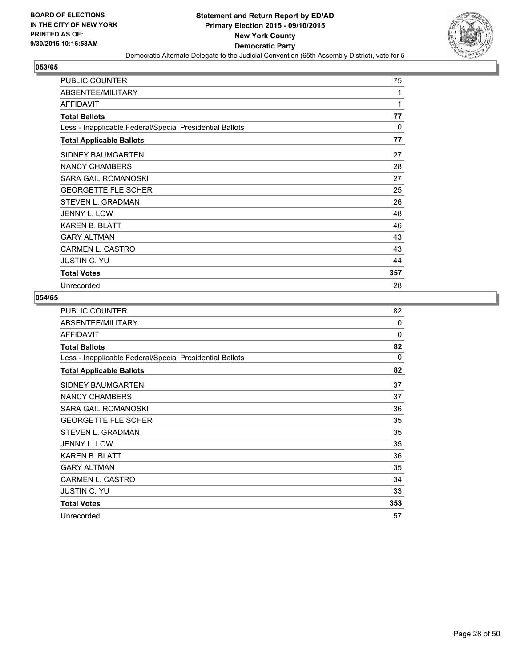

| <b>PUBLIC COUNTER</b>                                    | 75  |
|----------------------------------------------------------|-----|
| ABSENTEE/MILITARY                                        | 1   |
| <b>AFFIDAVIT</b>                                         | 1   |
| <b>Total Ballots</b>                                     | 77  |
| Less - Inapplicable Federal/Special Presidential Ballots | 0   |
| <b>Total Applicable Ballots</b>                          | 77  |
| SIDNEY BAUMGARTEN                                        | 27  |
| NANCY CHAMBERS                                           | 28  |
| SARA GAIL ROMANOSKI                                      | 27  |
| <b>GEORGETTE FLEISCHER</b>                               | 25  |
| STEVEN L. GRADMAN                                        | 26  |
| <b>JENNY L. LOW</b>                                      | 48  |
| <b>KAREN B. BLATT</b>                                    | 46  |
| <b>GARY ALTMAN</b>                                       | 43  |
| CARMEN L. CASTRO                                         | 43  |
| <b>JUSTIN C. YU</b>                                      | 44  |
| <b>Total Votes</b>                                       | 357 |
| Unrecorded                                               | 28  |

| PUBLIC COUNTER                                           | 82           |
|----------------------------------------------------------|--------------|
| ABSENTEE/MILITARY                                        | $\mathbf{0}$ |
| <b>AFFIDAVIT</b>                                         | $\mathbf{0}$ |
| <b>Total Ballots</b>                                     | 82           |
| Less - Inapplicable Federal/Special Presidential Ballots | 0            |
| <b>Total Applicable Ballots</b>                          | 82           |
| SIDNEY BAUMGARTEN                                        | 37           |
| <b>NANCY CHAMBERS</b>                                    | 37           |
| SARA GAIL ROMANOSKI                                      | 36           |
| <b>GEORGETTE FLEISCHER</b>                               | 35           |
| STEVEN L. GRADMAN                                        | 35           |
| JENNY L. LOW                                             | 35           |
| <b>KAREN B. BLATT</b>                                    | 36           |
| <b>GARY ALTMAN</b>                                       | 35           |
| <b>CARMEN L. CASTRO</b>                                  | 34           |
| <b>JUSTIN C. YU</b>                                      | 33           |
| <b>Total Votes</b>                                       | 353          |
| Unrecorded                                               | 57           |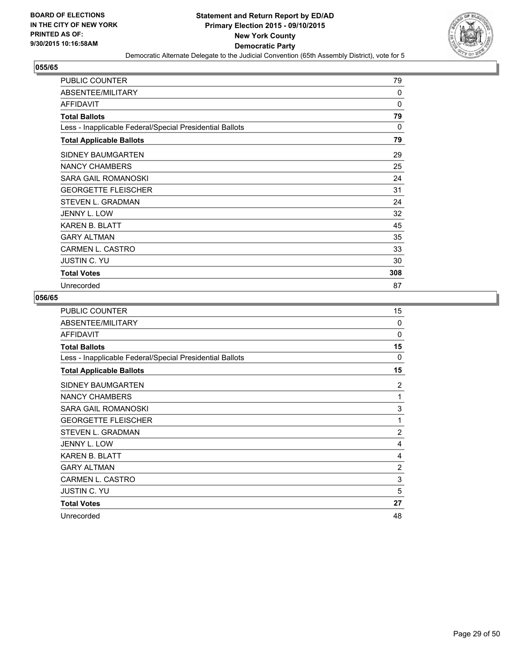

| <b>PUBLIC COUNTER</b>                                    | 79  |
|----------------------------------------------------------|-----|
| ABSENTEE/MILITARY                                        | 0   |
| <b>AFFIDAVIT</b>                                         | 0   |
| <b>Total Ballots</b>                                     | 79  |
| Less - Inapplicable Federal/Special Presidential Ballots | 0   |
| <b>Total Applicable Ballots</b>                          | 79  |
| <b>SIDNEY BAUMGARTEN</b>                                 | 29  |
| <b>NANCY CHAMBERS</b>                                    | 25  |
| SARA GAIL ROMANOSKI                                      | 24  |
| <b>GEORGETTE FLEISCHER</b>                               | 31  |
| STEVEN L. GRADMAN                                        | 24  |
| JENNY L. LOW                                             | 32  |
| <b>KAREN B. BLATT</b>                                    | 45  |
| <b>GARY ALTMAN</b>                                       | 35  |
| CARMEN L. CASTRO                                         | 33  |
| <b>JUSTIN C. YU</b>                                      | 30  |
| <b>Total Votes</b>                                       | 308 |
| Unrecorded                                               | 87  |

| PUBLIC COUNTER                                           | 15             |
|----------------------------------------------------------|----------------|
| ABSENTEE/MILITARY                                        | $\Omega$       |
| <b>AFFIDAVIT</b>                                         | $\Omega$       |
| <b>Total Ballots</b>                                     | 15             |
| Less - Inapplicable Federal/Special Presidential Ballots | $\Omega$       |
| <b>Total Applicable Ballots</b>                          | 15             |
| SIDNEY BAUMGARTEN                                        | $\overline{2}$ |
| <b>NANCY CHAMBERS</b>                                    | 1              |
| SARA GAIL ROMANOSKI                                      | 3              |
| <b>GEORGETTE FLEISCHER</b>                               | 1              |
| <b>STEVEN L. GRADMAN</b>                                 | 2              |
| JENNY L. LOW                                             | 4              |
| <b>KAREN B. BLATT</b>                                    | 4              |
| <b>GARY ALTMAN</b>                                       | $\overline{2}$ |
| CARMEN L. CASTRO                                         | 3              |
| <b>JUSTIN C. YU</b>                                      | 5              |
| <b>Total Votes</b>                                       | 27             |
| Unrecorded                                               | 48             |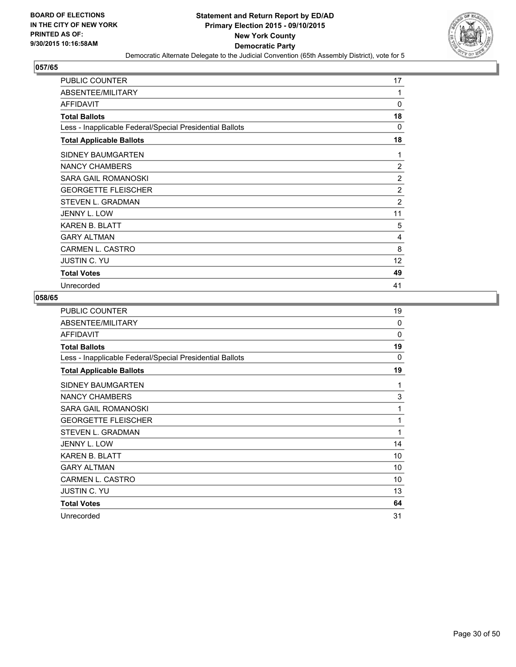

| <b>PUBLIC COUNTER</b>                                    | 17             |
|----------------------------------------------------------|----------------|
| ABSENTEE/MILITARY                                        | 1              |
| AFFIDAVIT                                                | 0              |
| <b>Total Ballots</b>                                     | 18             |
| Less - Inapplicable Federal/Special Presidential Ballots | 0              |
| <b>Total Applicable Ballots</b>                          | 18             |
| <b>SIDNEY BAUMGARTEN</b>                                 | 1              |
| NANCY CHAMBERS                                           | $\overline{2}$ |
| SARA GAIL ROMANOSKI                                      | 2              |
| <b>GEORGETTE FLEISCHER</b>                               | 2              |
| STEVEN L. GRADMAN                                        | 2              |
| JENNY L. LOW                                             | 11             |
| <b>KAREN B. BLATT</b>                                    | 5              |
| <b>GARY ALTMAN</b>                                       | 4              |
| CARMEN L. CASTRO                                         | 8              |
| <b>JUSTIN C. YU</b>                                      | 12             |
| <b>Total Votes</b>                                       | 49             |
| Unrecorded                                               | 41             |

| PUBLIC COUNTER                                           | 19       |
|----------------------------------------------------------|----------|
| ABSENTEE/MILITARY                                        | $\Omega$ |
| <b>AFFIDAVIT</b>                                         | $\Omega$ |
| <b>Total Ballots</b>                                     | 19       |
| Less - Inapplicable Federal/Special Presidential Ballots | 0        |
| <b>Total Applicable Ballots</b>                          | 19       |
| SIDNEY BAUMGARTEN                                        | 1        |
| <b>NANCY CHAMBERS</b>                                    | 3        |
| SARA GAIL ROMANOSKI                                      | 1        |
| <b>GEORGETTE FLEISCHER</b>                               | 1        |
| STEVEN L. GRADMAN                                        | 1        |
| JENNY L. LOW                                             | 14       |
| KAREN B. BLATT                                           | 10       |
| <b>GARY ALTMAN</b>                                       | 10       |
| CARMEN L. CASTRO                                         | 10       |
| <b>JUSTIN C. YU</b>                                      | 13       |
| <b>Total Votes</b>                                       | 64       |
| Unrecorded                                               | 31       |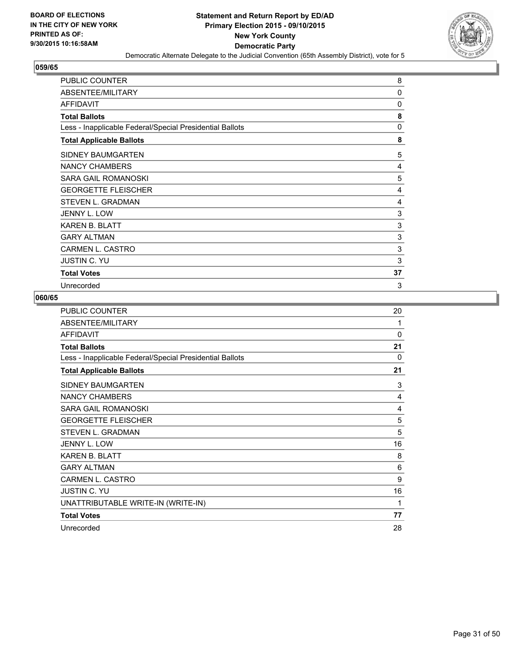

| <b>PUBLIC COUNTER</b>                                    | 8  |
|----------------------------------------------------------|----|
| ABSENTEE/MILITARY                                        | 0  |
| AFFIDAVIT                                                | 0  |
| <b>Total Ballots</b>                                     | 8  |
| Less - Inapplicable Federal/Special Presidential Ballots | 0  |
| <b>Total Applicable Ballots</b>                          | 8  |
| <b>SIDNEY BAUMGARTEN</b>                                 | 5  |
| NANCY CHAMBERS                                           | 4  |
| <b>SARA GAIL ROMANOSKI</b>                               | 5  |
| <b>GEORGETTE FLEISCHER</b>                               | 4  |
| STEVEN L. GRADMAN                                        | 4  |
| JENNY L. LOW                                             | 3  |
| <b>KAREN B. BLATT</b>                                    | 3  |
| <b>GARY ALTMAN</b>                                       | 3  |
| CARMEN L. CASTRO                                         | 3  |
| <b>JUSTIN C. YU</b>                                      | 3  |
| <b>Total Votes</b>                                       | 37 |
| Unrecorded                                               | 3  |

| <b>PUBLIC COUNTER</b>                                    | 20       |
|----------------------------------------------------------|----------|
| ABSENTEE/MILITARY                                        | 1        |
| <b>AFFIDAVIT</b>                                         | $\Omega$ |
| <b>Total Ballots</b>                                     | 21       |
| Less - Inapplicable Federal/Special Presidential Ballots | $\Omega$ |
| <b>Total Applicable Ballots</b>                          | 21       |
| SIDNEY BAUMGARTEN                                        | 3        |
| <b>NANCY CHAMBERS</b>                                    | 4        |
| <b>SARA GAIL ROMANOSKI</b>                               | 4        |
| <b>GEORGETTE FLEISCHER</b>                               | 5        |
| STEVEN L. GRADMAN                                        | 5        |
| JENNY L. LOW                                             | 16       |
| <b>KAREN B. BLATT</b>                                    | 8        |
| <b>GARY ALTMAN</b>                                       | 6        |
| <b>CARMEN L. CASTRO</b>                                  | 9        |
| <b>JUSTIN C. YU</b>                                      | 16       |
| UNATTRIBUTABLE WRITE-IN (WRITE-IN)                       | 1        |
| <b>Total Votes</b>                                       | 77       |
| Unrecorded                                               | 28       |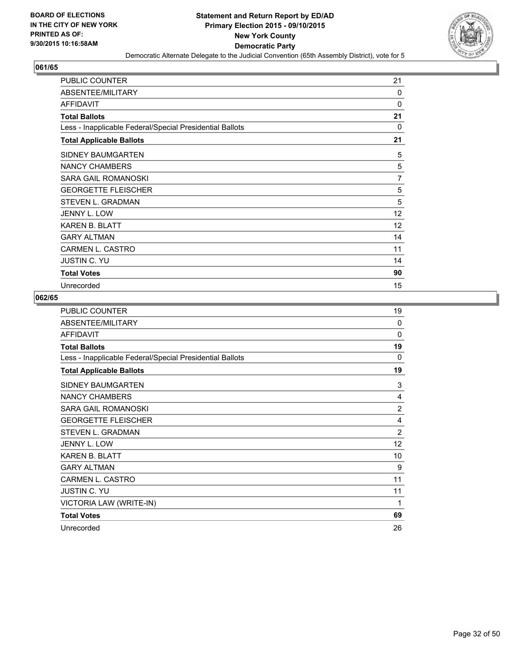

| <b>PUBLIC COUNTER</b>                                    | 21             |
|----------------------------------------------------------|----------------|
| ABSENTEE/MILITARY                                        | 0              |
| AFFIDAVIT                                                | 0              |
| <b>Total Ballots</b>                                     | 21             |
| Less - Inapplicable Federal/Special Presidential Ballots | 0              |
| <b>Total Applicable Ballots</b>                          | 21             |
| SIDNEY BAUMGARTEN                                        | 5              |
| NANCY CHAMBERS                                           | 5              |
| SARA GAIL ROMANOSKI                                      | $\overline{7}$ |
| <b>GEORGETTE FLEISCHER</b>                               | 5              |
| STEVEN L. GRADMAN                                        | 5              |
| JENNY L. LOW                                             | 12             |
| <b>KAREN B. BLATT</b>                                    | 12             |
| <b>GARY ALTMAN</b>                                       | 14             |
| <b>CARMEN L. CASTRO</b>                                  | 11             |
| <b>JUSTIN C. YU</b>                                      | 14             |
| <b>Total Votes</b>                                       | 90             |
| Unrecorded                                               | 15             |

| <b>PUBLIC COUNTER</b>                                    | 19             |
|----------------------------------------------------------|----------------|
| ABSENTEE/MILITARY                                        | $\Omega$       |
| <b>AFFIDAVIT</b>                                         | 0              |
| <b>Total Ballots</b>                                     | 19             |
| Less - Inapplicable Federal/Special Presidential Ballots | $\Omega$       |
| <b>Total Applicable Ballots</b>                          | 19             |
| SIDNEY BAUMGARTEN                                        | 3              |
| <b>NANCY CHAMBERS</b>                                    | 4              |
| SARA GAIL ROMANOSKI                                      | 2              |
| <b>GEORGETTE FLEISCHER</b>                               | 4              |
| <b>STEVEN L. GRADMAN</b>                                 | $\overline{2}$ |
| <b>JENNY L. LOW</b>                                      | 12             |
| <b>KAREN B. BLATT</b>                                    | 10             |
| <b>GARY ALTMAN</b>                                       | 9              |
| <b>CARMEN L. CASTRO</b>                                  | 11             |
| <b>JUSTIN C. YU</b>                                      | 11             |
| VICTORIA LAW (WRITE-IN)                                  | 1              |
| <b>Total Votes</b>                                       | 69             |
| Unrecorded                                               | 26             |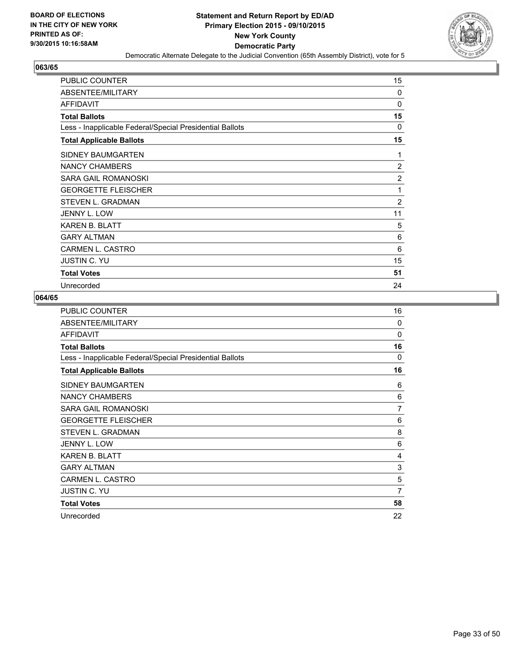

| <b>PUBLIC COUNTER</b>                                    | 15 |
|----------------------------------------------------------|----|
| ABSENTEE/MILITARY                                        | 0  |
| <b>AFFIDAVIT</b>                                         | 0  |
| <b>Total Ballots</b>                                     | 15 |
| Less - Inapplicable Federal/Special Presidential Ballots | 0  |
| <b>Total Applicable Ballots</b>                          | 15 |
| <b>SIDNEY BAUMGARTEN</b>                                 | 1  |
| NANCY CHAMBERS                                           | 2  |
| SARA GAIL ROMANOSKI                                      | 2  |
| <b>GEORGETTE FLEISCHER</b>                               | 1  |
| STEVEN L. GRADMAN                                        | 2  |
| <b>JENNY L. LOW</b>                                      | 11 |
| <b>KAREN B. BLATT</b>                                    | 5  |
| <b>GARY ALTMAN</b>                                       | 6  |
| <b>CARMEN L. CASTRO</b>                                  | 6  |
| <b>JUSTIN C. YU</b>                                      | 15 |
| <b>Total Votes</b>                                       | 51 |
| Unrecorded                                               | 24 |

| <b>PUBLIC COUNTER</b>                                    | 16       |
|----------------------------------------------------------|----------|
| ABSENTEE/MILITARY                                        | 0        |
| <b>AFFIDAVIT</b>                                         | $\Omega$ |
| <b>Total Ballots</b>                                     | 16       |
| Less - Inapplicable Federal/Special Presidential Ballots | 0        |
| <b>Total Applicable Ballots</b>                          | 16       |
| SIDNEY BAUMGARTEN                                        | 6        |
| <b>NANCY CHAMBERS</b>                                    | 6        |
| <b>SARA GAIL ROMANOSKI</b>                               | 7        |
| <b>GEORGETTE FLEISCHER</b>                               | 6        |
| <b>STEVEN L. GRADMAN</b>                                 | 8        |
| <b>JENNY L. LOW</b>                                      | 6        |
| <b>KAREN B. BLATT</b>                                    | 4        |
| <b>GARY ALTMAN</b>                                       | 3        |
| <b>CARMEN L. CASTRO</b>                                  | 5        |
| <b>JUSTIN C. YU</b>                                      | 7        |
| <b>Total Votes</b>                                       | 58       |
| Unrecorded                                               | 22       |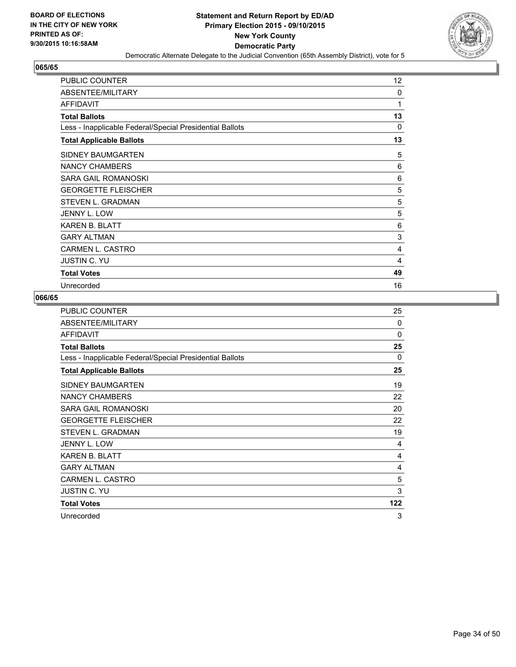

| <b>PUBLIC COUNTER</b>                                    | 12 |
|----------------------------------------------------------|----|
| ABSENTEE/MILITARY                                        | 0  |
| AFFIDAVIT                                                | 1  |
| <b>Total Ballots</b>                                     | 13 |
| Less - Inapplicable Federal/Special Presidential Ballots | 0  |
| <b>Total Applicable Ballots</b>                          | 13 |
| <b>SIDNEY BAUMGARTEN</b>                                 | 5  |
| NANCY CHAMBERS                                           | 6  |
| SARA GAIL ROMANOSKI                                      | 6  |
| <b>GEORGETTE FLEISCHER</b>                               | 5  |
| STEVEN L. GRADMAN                                        | 5  |
| JENNY L. LOW                                             | 5  |
| <b>KAREN B. BLATT</b>                                    | 6  |
| <b>GARY ALTMAN</b>                                       | 3  |
| <b>CARMEN L. CASTRO</b>                                  | 4  |
| <b>JUSTIN C. YU</b>                                      | 4  |
| <b>Total Votes</b>                                       | 49 |
| Unrecorded                                               | 16 |

| PUBLIC COUNTER                                           | 25           |
|----------------------------------------------------------|--------------|
| ABSENTEE/MILITARY                                        | $\Omega$     |
| <b>AFFIDAVIT</b>                                         | $\Omega$     |
| <b>Total Ballots</b>                                     | 25           |
| Less - Inapplicable Federal/Special Presidential Ballots | $\mathbf{0}$ |
| <b>Total Applicable Ballots</b>                          | 25           |
| SIDNEY BAUMGARTEN                                        | 19           |
| <b>NANCY CHAMBERS</b>                                    | 22           |
| SARA GAIL ROMANOSKI                                      | 20           |
| <b>GEORGETTE FLEISCHER</b>                               | 22           |
| <b>STEVEN L. GRADMAN</b>                                 | 19           |
| JENNY L. LOW                                             | 4            |
| <b>KAREN B. BLATT</b>                                    | 4            |
| <b>GARY ALTMAN</b>                                       | 4            |
| CARMEN L. CASTRO                                         | 5            |
| <b>JUSTIN C. YU</b>                                      | 3            |
| <b>Total Votes</b>                                       | 122          |
| Unrecorded                                               | 3            |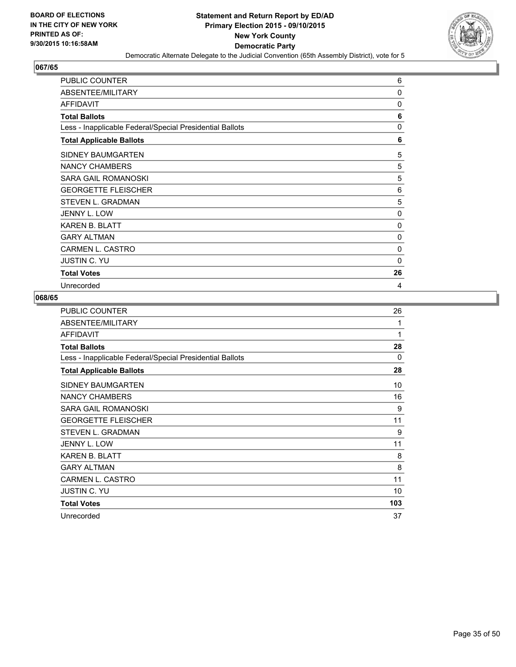

| <b>PUBLIC COUNTER</b>                                    | 6  |
|----------------------------------------------------------|----|
| ABSENTEE/MILITARY                                        | 0  |
| <b>AFFIDAVIT</b>                                         | 0  |
| <b>Total Ballots</b>                                     | 6  |
| Less - Inapplicable Federal/Special Presidential Ballots | 0  |
| <b>Total Applicable Ballots</b>                          | 6  |
| SIDNEY BAUMGARTEN                                        | 5  |
| NANCY CHAMBERS                                           | 5  |
| <b>SARA GAIL ROMANOSKI</b>                               | 5  |
| <b>GEORGETTE FLEISCHER</b>                               | 6  |
| STEVEN L. GRADMAN                                        | 5  |
| JENNY L. LOW                                             | 0  |
| <b>KAREN B. BLATT</b>                                    | 0  |
| <b>GARY ALTMAN</b>                                       | 0  |
| <b>CARMEN L. CASTRO</b>                                  | 0  |
| <b>JUSTIN C. YU</b>                                      | 0  |
| <b>Total Votes</b>                                       | 26 |
| Unrecorded                                               | 4  |

| PUBLIC COUNTER                                           | 26  |
|----------------------------------------------------------|-----|
| ABSENTEE/MILITARY                                        | 1   |
| <b>AFFIDAVIT</b>                                         | 1   |
| <b>Total Ballots</b>                                     | 28  |
| Less - Inapplicable Federal/Special Presidential Ballots | 0   |
| <b>Total Applicable Ballots</b>                          | 28  |
| SIDNEY BAUMGARTEN                                        | 10  |
| <b>NANCY CHAMBERS</b>                                    | 16  |
| <b>SARA GAIL ROMANOSKI</b>                               | 9   |
| <b>GEORGETTE FLEISCHER</b>                               | 11  |
| STEVEN L. GRADMAN                                        | 9   |
| JENNY L. LOW                                             | 11  |
| <b>KAREN B. BLATT</b>                                    | 8   |
| <b>GARY ALTMAN</b>                                       | 8   |
| CARMEN L. CASTRO                                         | 11  |
| <b>JUSTIN C. YU</b>                                      | 10  |
| <b>Total Votes</b>                                       | 103 |
| Unrecorded                                               | 37  |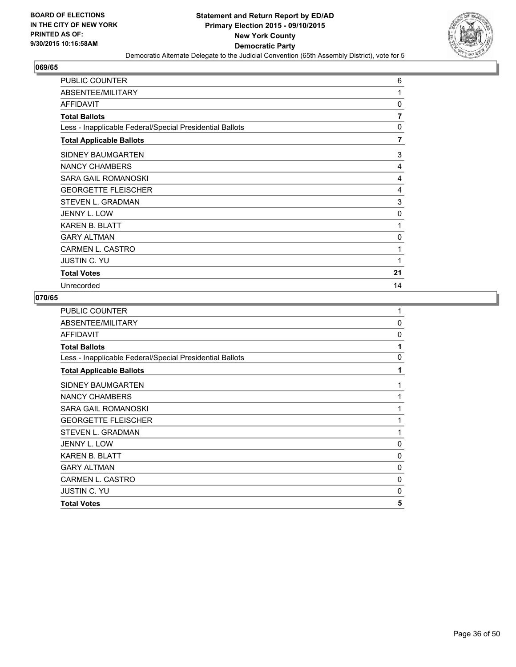

| <b>PUBLIC COUNTER</b>                                    | 6  |
|----------------------------------------------------------|----|
| ABSENTEE/MILITARY                                        | 1  |
| <b>AFFIDAVIT</b>                                         | 0  |
| <b>Total Ballots</b>                                     | 7  |
| Less - Inapplicable Federal/Special Presidential Ballots | 0  |
| <b>Total Applicable Ballots</b>                          | 7  |
| SIDNEY BAUMGARTEN                                        | 3  |
| NANCY CHAMBERS                                           | 4  |
| SARA GAIL ROMANOSKI                                      | 4  |
| <b>GEORGETTE FLEISCHER</b>                               | 4  |
| STEVEN L. GRADMAN                                        | 3  |
| JENNY L. LOW                                             | 0  |
| <b>KAREN B. BLATT</b>                                    | 1  |
| <b>GARY ALTMAN</b>                                       | 0  |
| <b>CARMEN L. CASTRO</b>                                  | 1  |
| <b>JUSTIN C. YU</b>                                      | 1  |
| <b>Total Votes</b>                                       | 21 |
| Unrecorded                                               | 14 |

| <b>PUBLIC COUNTER</b>                                    | 1        |
|----------------------------------------------------------|----------|
| ABSENTEE/MILITARY                                        | $\Omega$ |
| <b>AFFIDAVIT</b>                                         | 0        |
| <b>Total Ballots</b>                                     | 1        |
| Less - Inapplicable Federal/Special Presidential Ballots | 0        |
| <b>Total Applicable Ballots</b>                          | 1        |
| SIDNEY BAUMGARTEN                                        | 1        |
| <b>NANCY CHAMBERS</b>                                    | 1        |
| SARA GAIL ROMANOSKI                                      | 1        |
| <b>GEORGETTE FLEISCHER</b>                               | 1        |
| STEVEN L. GRADMAN                                        | 1        |
| JENNY L. LOW                                             | 0        |
| <b>KAREN B. BLATT</b>                                    | 0        |
| <b>GARY ALTMAN</b>                                       | 0        |
| <b>CARMEN L. CASTRO</b>                                  | 0        |
| <b>JUSTIN C. YU</b>                                      | 0        |
| <b>Total Votes</b>                                       | 5        |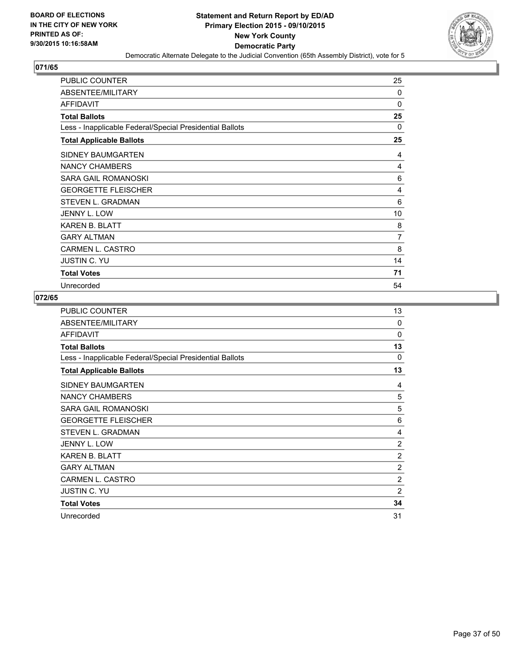

| <b>PUBLIC COUNTER</b>                                    | 25 |
|----------------------------------------------------------|----|
| ABSENTEE/MILITARY                                        | 0  |
| AFFIDAVIT                                                | 0  |
| <b>Total Ballots</b>                                     | 25 |
| Less - Inapplicable Federal/Special Presidential Ballots | 0  |
| <b>Total Applicable Ballots</b>                          | 25 |
| <b>SIDNEY BAUMGARTEN</b>                                 | 4  |
| NANCY CHAMBERS                                           | 4  |
| SARA GAIL ROMANOSKI                                      | 6  |
| <b>GEORGETTE FLEISCHER</b>                               | 4  |
| STEVEN L. GRADMAN                                        | 6  |
| JENNY L. LOW                                             | 10 |
| <b>KAREN B. BLATT</b>                                    | 8  |
| <b>GARY ALTMAN</b>                                       | 7  |
| <b>CARMEN L. CASTRO</b>                                  | 8  |
| <b>JUSTIN C. YU</b>                                      | 14 |
| <b>Total Votes</b>                                       | 71 |
| Unrecorded                                               | 54 |

| <b>PUBLIC COUNTER</b>                                    | 13             |
|----------------------------------------------------------|----------------|
| ABSENTEE/MILITARY                                        | $\Omega$       |
| <b>AFFIDAVIT</b>                                         | $\Omega$       |
| <b>Total Ballots</b>                                     | 13             |
| Less - Inapplicable Federal/Special Presidential Ballots | $\Omega$       |
| <b>Total Applicable Ballots</b>                          | 13             |
| SIDNEY BAUMGARTEN                                        | 4              |
| <b>NANCY CHAMBERS</b>                                    | 5              |
| SARA GAIL ROMANOSKI                                      | 5              |
| <b>GEORGETTE FLEISCHER</b>                               | 6              |
| <b>STEVEN L. GRADMAN</b>                                 | 4              |
| JENNY L. LOW                                             | $\overline{c}$ |
| <b>KAREN B. BLATT</b>                                    | $\overline{2}$ |
| <b>GARY ALTMAN</b>                                       | $\overline{2}$ |
| CARMEN L. CASTRO                                         | $\overline{2}$ |
| <b>JUSTIN C. YU</b>                                      | 2              |
| <b>Total Votes</b>                                       | 34             |
| Unrecorded                                               | 31             |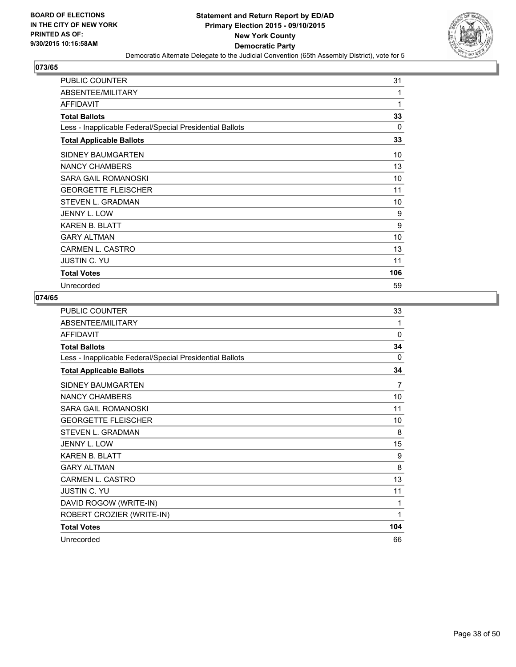

| PUBLIC COUNTER                                           | 31  |
|----------------------------------------------------------|-----|
| ABSENTEE/MILITARY                                        | 1   |
| <b>AFFIDAVIT</b>                                         | 1   |
| <b>Total Ballots</b>                                     | 33  |
| Less - Inapplicable Federal/Special Presidential Ballots | 0   |
| <b>Total Applicable Ballots</b>                          | 33  |
| SIDNEY BAUMGARTEN                                        | 10  |
| NANCY CHAMBERS                                           | 13  |
| SARA GAIL ROMANOSKI                                      | 10  |
| <b>GEORGETTE FLEISCHER</b>                               | 11  |
| STEVEN L. GRADMAN                                        | 10  |
| <b>JENNY L. LOW</b>                                      | 9   |
| <b>KAREN B. BLATT</b>                                    | 9   |
| <b>GARY ALTMAN</b>                                       | 10  |
| <b>CARMEN L. CASTRO</b>                                  | 13  |
| <b>JUSTIN C. YU</b>                                      | 11  |
| <b>Total Votes</b>                                       | 106 |
| Unrecorded                                               | 59  |

| <b>PUBLIC COUNTER</b>                                    | 33           |
|----------------------------------------------------------|--------------|
| ABSENTEE/MILITARY                                        | 1            |
| <b>AFFIDAVIT</b>                                         | $\mathbf{0}$ |
| <b>Total Ballots</b>                                     | 34           |
| Less - Inapplicable Federal/Special Presidential Ballots | 0            |
| <b>Total Applicable Ballots</b>                          | 34           |
| SIDNEY BAUMGARTEN                                        | 7            |
| <b>NANCY CHAMBERS</b>                                    | 10           |
| SARA GAIL ROMANOSKI                                      | 11           |
| <b>GEORGETTE FLEISCHER</b>                               | 10           |
| <b>STEVEN L. GRADMAN</b>                                 | 8            |
| JENNY L. LOW                                             | 15           |
| <b>KAREN B. BLATT</b>                                    | 9            |
| <b>GARY AI TMAN</b>                                      | 8            |
| <b>CARMEN L. CASTRO</b>                                  | 13           |
| <b>JUSTIN C. YU</b>                                      | 11           |
| DAVID ROGOW (WRITE-IN)                                   | 1            |
| ROBERT CROZIER (WRITE-IN)                                | 1            |
| <b>Total Votes</b>                                       | 104          |
| Unrecorded                                               | 66           |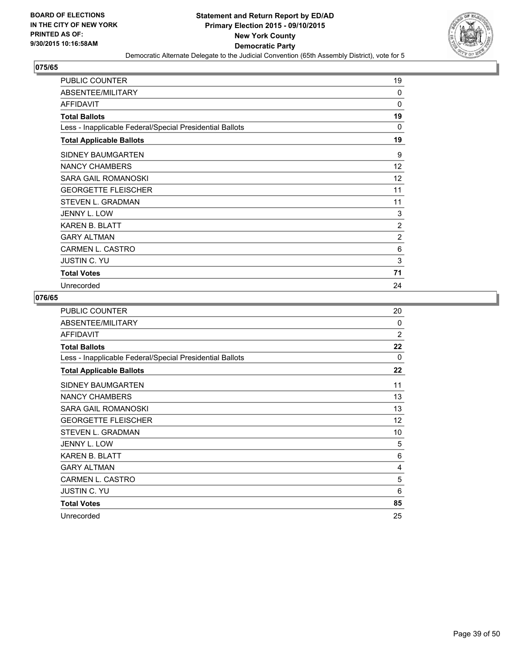

| <b>PUBLIC COUNTER</b>                                    | 19       |
|----------------------------------------------------------|----------|
| ABSENTEE/MILITARY                                        | $\Omega$ |
| <b>AFFIDAVIT</b>                                         | 0        |
| <b>Total Ballots</b>                                     | 19       |
| Less - Inapplicable Federal/Special Presidential Ballots | 0        |
| <b>Total Applicable Ballots</b>                          | 19       |
| SIDNEY BAUMGARTEN                                        | 9        |
| NANCY CHAMBERS                                           | 12       |
| SARA GAIL ROMANOSKI                                      | 12       |
| <b>GEORGETTE FLEISCHER</b>                               | 11       |
| STEVEN L. GRADMAN                                        | 11       |
| <b>JENNY L. LOW</b>                                      | 3        |
| <b>KAREN B. BLATT</b>                                    | 2        |
| <b>GARY ALTMAN</b>                                       | 2        |
| <b>CARMEN L. CASTRO</b>                                  | 6        |
| <b>JUSTIN C. YU</b>                                      | 3        |
| <b>Total Votes</b>                                       | 71       |
| Unrecorded                                               | 24       |

| PUBLIC COUNTER                                           | 20             |
|----------------------------------------------------------|----------------|
| ABSENTEE/MILITARY                                        | $\Omega$       |
| <b>AFFIDAVIT</b>                                         | $\overline{2}$ |
| <b>Total Ballots</b>                                     | 22             |
| Less - Inapplicable Federal/Special Presidential Ballots | $\mathbf{0}$   |
| <b>Total Applicable Ballots</b>                          | 22             |
| SIDNEY BAUMGARTEN                                        | 11             |
| <b>NANCY CHAMBERS</b>                                    | 13             |
| SARA GAIL ROMANOSKI                                      | 13             |
| <b>GEORGETTE FLEISCHER</b>                               | 12             |
| <b>STEVEN L. GRADMAN</b>                                 | 10             |
| JENNY L. LOW                                             | 5              |
| <b>KAREN B. BLATT</b>                                    | 6              |
| <b>GARY ALTMAN</b>                                       | 4              |
| CARMEN L. CASTRO                                         | 5              |
| <b>JUSTIN C. YU</b>                                      | 6              |
| <b>Total Votes</b>                                       | 85             |
| Unrecorded                                               | 25             |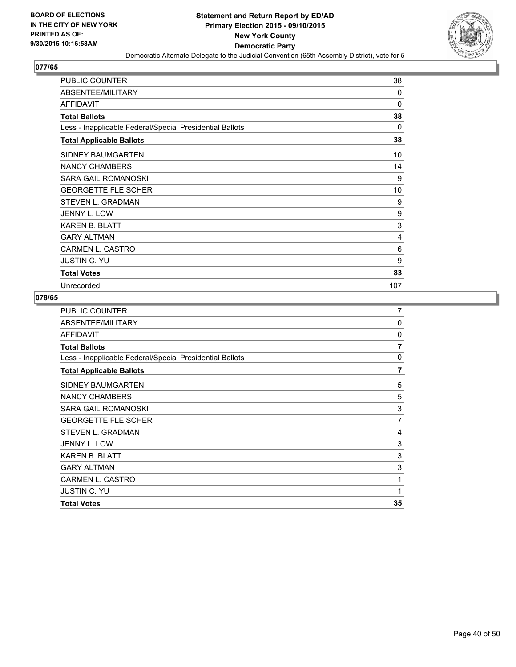

| <b>PUBLIC COUNTER</b>                                    | 38  |
|----------------------------------------------------------|-----|
| ABSENTEE/MILITARY                                        | 0   |
| <b>AFFIDAVIT</b>                                         | 0   |
| <b>Total Ballots</b>                                     | 38  |
| Less - Inapplicable Federal/Special Presidential Ballots | 0   |
| <b>Total Applicable Ballots</b>                          | 38  |
| SIDNEY BAUMGARTEN                                        | 10  |
| <b>NANCY CHAMBERS</b>                                    | 14  |
| SARA GAIL ROMANOSKI                                      | 9   |
| <b>GEORGETTE FLEISCHER</b>                               | 10  |
| STEVEN L. GRADMAN                                        | 9   |
| <b>JENNY L. LOW</b>                                      | 9   |
| <b>KAREN B. BLATT</b>                                    | 3   |
| <b>GARY ALTMAN</b>                                       | 4   |
| <b>CARMEN L. CASTRO</b>                                  | 6   |
| <b>JUSTIN C. YU</b>                                      | 9   |
| <b>Total Votes</b>                                       | 83  |
| Unrecorded                                               | 107 |

| <b>PUBLIC COUNTER</b>                                    | 7              |
|----------------------------------------------------------|----------------|
| ABSENTEE/MILITARY                                        | 0              |
| AFFIDAVIT                                                | 0              |
| <b>Total Ballots</b>                                     | $\overline{7}$ |
| Less - Inapplicable Federal/Special Presidential Ballots | 0              |
| <b>Total Applicable Ballots</b>                          | 7              |
| SIDNEY BAUMGARTEN                                        | 5              |
| NANCY CHAMBERS                                           | 5              |
| <b>SARA GAIL ROMANOSKI</b>                               | 3              |
| <b>GEORGETTE FLEISCHER</b>                               | 7              |
| STEVEN L. GRADMAN                                        | 4              |
| JENNY L. LOW                                             | 3              |
| <b>KAREN B. BLATT</b>                                    | 3              |
| <b>GARY ALTMAN</b>                                       | 3              |
| <b>CARMEN L. CASTRO</b>                                  | 1              |
| <b>JUSTIN C. YU</b>                                      | 1              |
| <b>Total Votes</b>                                       | 35             |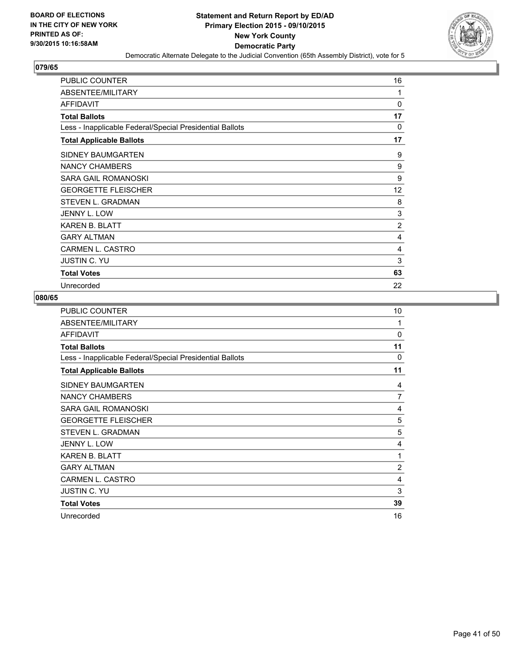

| <b>PUBLIC COUNTER</b>                                    | 16       |
|----------------------------------------------------------|----------|
| ABSENTEE/MILITARY                                        | 1        |
| <b>AFFIDAVIT</b>                                         | $\Omega$ |
| <b>Total Ballots</b>                                     | 17       |
| Less - Inapplicable Federal/Special Presidential Ballots | 0        |
| <b>Total Applicable Ballots</b>                          | 17       |
| SIDNEY BAUMGARTEN                                        | 9        |
| NANCY CHAMBERS                                           | 9        |
| SARA GAIL ROMANOSKI                                      | 9        |
| <b>GEORGETTE FLEISCHER</b>                               | 12       |
| STEVEN L. GRADMAN                                        | 8        |
| <b>JENNY L. LOW</b>                                      | 3        |
| <b>KAREN B. BLATT</b>                                    | 2        |
| <b>GARY ALTMAN</b>                                       | 4        |
| <b>CARMEN L. CASTRO</b>                                  | 4        |
| <b>JUSTIN C. YU</b>                                      | 3        |
| <b>Total Votes</b>                                       | 63       |
| Unrecorded                                               | 22       |

| PUBLIC COUNTER                                           | 10             |
|----------------------------------------------------------|----------------|
| ABSENTEE/MILITARY                                        | 1              |
| <b>AFFIDAVIT</b>                                         | $\Omega$       |
| <b>Total Ballots</b>                                     | 11             |
| Less - Inapplicable Federal/Special Presidential Ballots | 0              |
| <b>Total Applicable Ballots</b>                          | 11             |
| SIDNEY BAUMGARTEN                                        | 4              |
| <b>NANCY CHAMBERS</b>                                    | $\overline{7}$ |
| <b>SARA GAIL ROMANOSKI</b>                               | 4              |
| <b>GEORGETTE FLEISCHER</b>                               | 5              |
| STEVEN L. GRADMAN                                        | 5              |
| JENNY L. LOW                                             | 4              |
| KAREN B. BLATT                                           | 1              |
| <b>GARY ALTMAN</b>                                       | 2              |
| CARMEN L. CASTRO                                         | 4              |
| <b>JUSTIN C. YU</b>                                      | 3              |
| <b>Total Votes</b>                                       | 39             |
| Unrecorded                                               | 16             |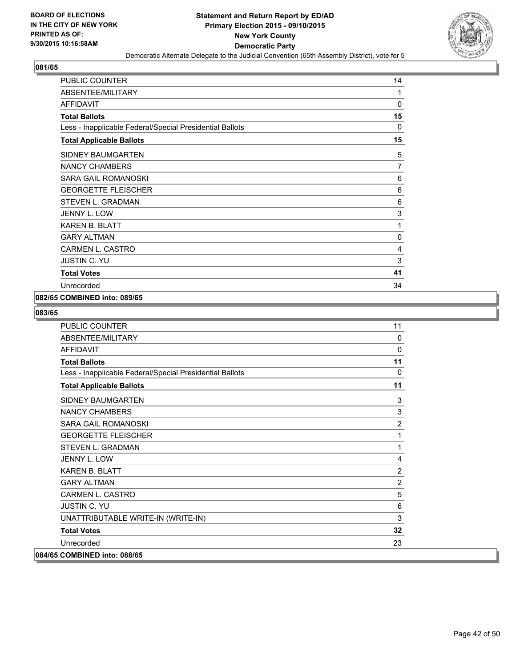

| <b>PUBLIC COUNTER</b>                                    | 14       |
|----------------------------------------------------------|----------|
| ABSENTEE/MILITARY                                        | 1        |
| <b>AFFIDAVIT</b>                                         | 0        |
| <b>Total Ballots</b>                                     | 15       |
| Less - Inapplicable Federal/Special Presidential Ballots | $\Omega$ |
| <b>Total Applicable Ballots</b>                          | 15       |
| SIDNEY BAUMGARTEN                                        | 5        |
| <b>NANCY CHAMBERS</b>                                    | 7        |
| SARA GAIL ROMANOSKI                                      | 6        |
| <b>GEORGETTE FLEISCHER</b>                               | 6        |
| <b>STEVEN L. GRADMAN</b>                                 | 6        |
| <b>JENNY L. LOW</b>                                      | 3        |
| <b>KAREN B. BLATT</b>                                    | 1        |
| <b>GARY ALTMAN</b>                                       | 0        |
| <b>CARMEN L. CASTRO</b>                                  | 4        |
| <b>JUSTIN C. YU</b>                                      | 3        |
| <b>Total Votes</b>                                       | 41       |
| Unrecorded                                               | 34       |

#### **082/65 COMBINED into: 089/65**

| <b>PUBLIC COUNTER</b>                                    | 11             |
|----------------------------------------------------------|----------------|
| ABSENTEE/MILITARY                                        | 0              |
| <b>AFFIDAVIT</b>                                         | $\mathbf 0$    |
| <b>Total Ballots</b>                                     | 11             |
| Less - Inapplicable Federal/Special Presidential Ballots | $\Omega$       |
| <b>Total Applicable Ballots</b>                          | 11             |
| <b>SIDNEY BAUMGARTEN</b>                                 | 3              |
| <b>NANCY CHAMBERS</b>                                    | 3              |
| <b>SARA GAIL ROMANOSKI</b>                               | $\overline{2}$ |
| <b>GEORGETTE FLEISCHER</b>                               | 1              |
| <b>STEVEN L. GRADMAN</b>                                 | 1              |
| <b>JENNY L. LOW</b>                                      | 4              |
| <b>KAREN B. BLATT</b>                                    | $\overline{2}$ |
| <b>GARY AI TMAN</b>                                      | $\overline{2}$ |
| <b>CARMEN L. CASTRO</b>                                  | 5              |
| <b>JUSTIN C. YU</b>                                      | 6              |
| UNATTRIBUTABLE WRITE-IN (WRITE-IN)                       | 3              |
| <b>Total Votes</b>                                       | 32             |
| Unrecorded                                               | 23             |
| 084/65 COMBINED into: 088/65                             |                |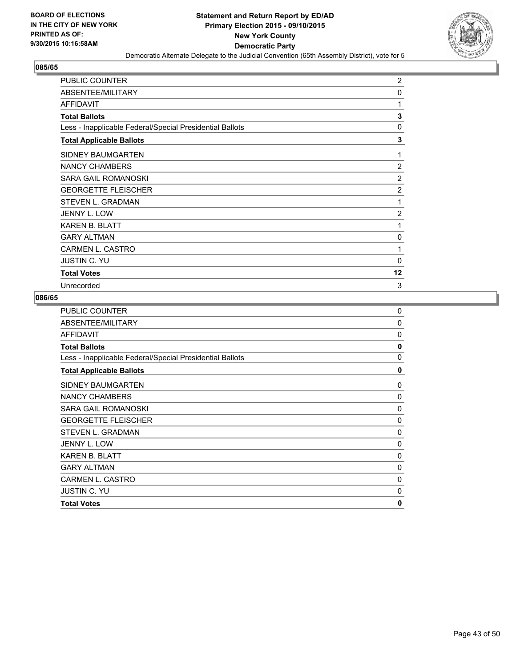

| <b>PUBLIC COUNTER</b>                                    | $\overline{2}$ |
|----------------------------------------------------------|----------------|
| ABSENTEE/MILITARY                                        | 0              |
| AFFIDAVIT                                                | 1              |
| <b>Total Ballots</b>                                     | 3              |
| Less - Inapplicable Federal/Special Presidential Ballots | 0              |
| <b>Total Applicable Ballots</b>                          | 3              |
| <b>SIDNEY BAUMGARTEN</b>                                 | 1              |
| NANCY CHAMBERS                                           | $\overline{2}$ |
| <b>SARA GAIL ROMANOSKI</b>                               | 2              |
| <b>GEORGETTE FLEISCHER</b>                               | 2              |
| STEVEN L. GRADMAN                                        | 1              |
| JENNY L. LOW                                             | 2              |
| <b>KAREN B. BLATT</b>                                    | 1              |
| <b>GARY ALTMAN</b>                                       | 0              |
| <b>CARMEN L. CASTRO</b>                                  | 1              |
| <b>JUSTIN C. YU</b>                                      | 0              |
| <b>Total Votes</b>                                       | 12             |
| Unrecorded                                               | 3              |

| <b>PUBLIC COUNTER</b>                                    | $\mathbf 0$ |
|----------------------------------------------------------|-------------|
| ABSENTEE/MILITARY                                        | 0           |
| <b>AFFIDAVIT</b>                                         | 0           |
| <b>Total Ballots</b>                                     | 0           |
| Less - Inapplicable Federal/Special Presidential Ballots | 0           |
| <b>Total Applicable Ballots</b>                          | 0           |
| SIDNEY BAUMGARTEN                                        | 0           |
| NANCY CHAMBERS                                           | 0           |
| SARA GAIL ROMANOSKI                                      | 0           |
| <b>GEORGETTE FLEISCHER</b>                               | 0           |
| <b>STEVEN L. GRADMAN</b>                                 | 0           |
| JENNY L. LOW                                             | 0           |
| <b>KAREN B. BLATT</b>                                    | 0           |
| <b>GARY ALTMAN</b>                                       | 0           |
| <b>CARMEN L. CASTRO</b>                                  | 0           |
| <b>JUSTIN C. YU</b>                                      | $\Omega$    |
| <b>Total Votes</b>                                       | 0           |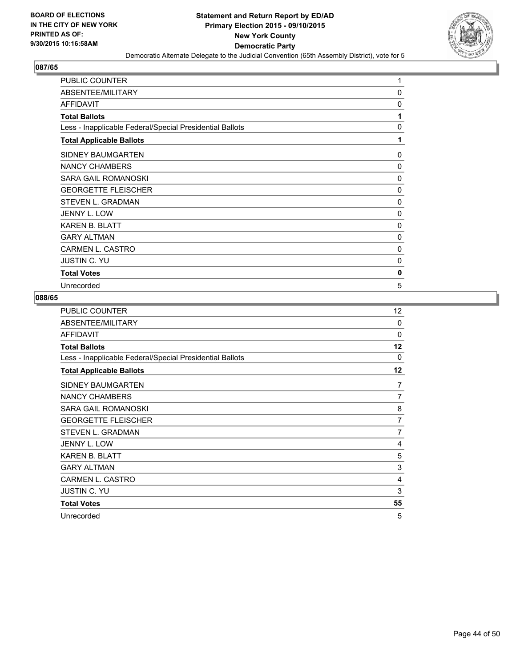

| <b>PUBLIC COUNTER</b>                                    | 1            |
|----------------------------------------------------------|--------------|
| ABSENTEE/MILITARY                                        | 0            |
| <b>AFFIDAVIT</b>                                         | 0            |
| <b>Total Ballots</b>                                     | 1            |
| Less - Inapplicable Federal/Special Presidential Ballots | 0            |
| <b>Total Applicable Ballots</b>                          | 1            |
| SIDNEY BAUMGARTEN                                        | 0            |
| NANCY CHAMBERS                                           | $\mathbf{0}$ |
| <b>SARA GAIL ROMANOSKI</b>                               | 0            |
| <b>GEORGETTE FLEISCHER</b>                               | 0            |
| STEVEN L. GRADMAN                                        | 0            |
| JENNY L. LOW                                             | 0            |
| <b>KAREN B. BLATT</b>                                    | 0            |
| <b>GARY ALTMAN</b>                                       | 0            |
| <b>CARMEN L. CASTRO</b>                                  | 0            |
| <b>JUSTIN C. YU</b>                                      | 0            |
| <b>Total Votes</b>                                       | 0            |
| Unrecorded                                               | 5            |

| PUBLIC COUNTER                                           | 12             |
|----------------------------------------------------------|----------------|
| ABSENTEE/MILITARY                                        | 0              |
| <b>AFFIDAVIT</b>                                         | $\Omega$       |
| <b>Total Ballots</b>                                     | 12             |
| Less - Inapplicable Federal/Special Presidential Ballots | 0              |
| <b>Total Applicable Ballots</b>                          | 12             |
| SIDNEY BAUMGARTEN                                        | 7              |
| <b>NANCY CHAMBERS</b>                                    | $\overline{7}$ |
| SARA GAIL ROMANOSKI                                      | 8              |
| <b>GEORGETTE FLEISCHER</b>                               | 7              |
| <b>STEVEN L. GRADMAN</b>                                 | $\overline{7}$ |
| JENNY L. LOW                                             | 4              |
| <b>KAREN B. BLATT</b>                                    | 5              |
| <b>GARY ALTMAN</b>                                       | 3              |
| CARMEN L. CASTRO                                         | 4              |
| <b>JUSTIN C. YU</b>                                      | 3              |
| <b>Total Votes</b>                                       | 55             |
| Unrecorded                                               | 5              |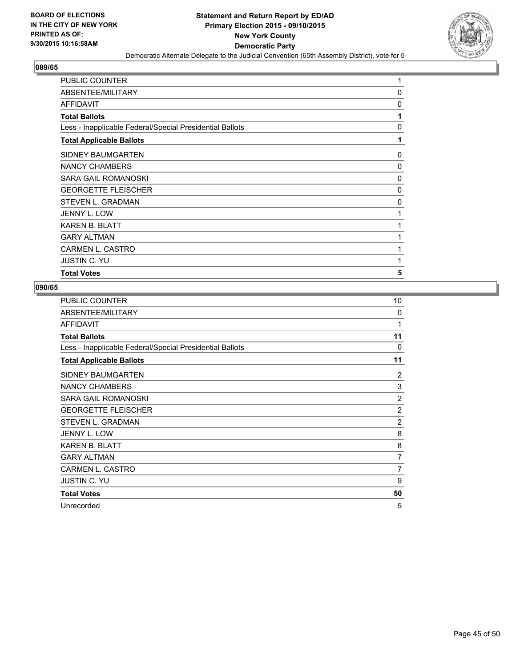

| <b>PUBLIC COUNTER</b>                                    | 1 |
|----------------------------------------------------------|---|
| ABSENTEE/MILITARY                                        | 0 |
| <b>AFFIDAVIT</b>                                         | 0 |
| <b>Total Ballots</b>                                     | 1 |
| Less - Inapplicable Federal/Special Presidential Ballots | 0 |
| <b>Total Applicable Ballots</b>                          | 1 |
| SIDNEY BAUMGARTEN                                        | 0 |
| NANCY CHAMBERS                                           | 0 |
| SARA GAIL ROMANOSKI                                      | 0 |
| <b>GEORGETTE FLEISCHER</b>                               | 0 |
| <b>STEVEN L. GRADMAN</b>                                 | 0 |
| JENNY L. LOW                                             | 1 |
| <b>KAREN B. BLATT</b>                                    | 1 |
| <b>GARY ALTMAN</b>                                       | 1 |
| <b>CARMEN L. CASTRO</b>                                  | 1 |
| <b>JUSTIN C. YU</b>                                      | 1 |
| <b>Total Votes</b>                                       | 5 |

| <b>PUBLIC COUNTER</b>                                    | 10             |
|----------------------------------------------------------|----------------|
| ABSENTEE/MILITARY                                        | 0              |
| <b>AFFIDAVIT</b>                                         | 1              |
| <b>Total Ballots</b>                                     | 11             |
| Less - Inapplicable Federal/Special Presidential Ballots | 0              |
| <b>Total Applicable Ballots</b>                          | 11             |
| SIDNEY BAUMGARTEN                                        | 2              |
| NANCY CHAMBERS                                           | 3              |
| SARA GAIL ROMANOSKI                                      | 2              |
| <b>GEORGETTE FLEISCHER</b>                               | $\overline{2}$ |
| STEVEN L. GRADMAN                                        | $\overline{2}$ |
| JENNY L. LOW                                             | 8              |
| <b>KAREN B. BLATT</b>                                    | 8              |
| <b>GARY ALTMAN</b>                                       | 7              |
| CARMEN L. CASTRO                                         | 7              |
| <b>JUSTIN C. YU</b>                                      | 9              |
| <b>Total Votes</b>                                       | 50             |
| Unrecorded                                               | 5              |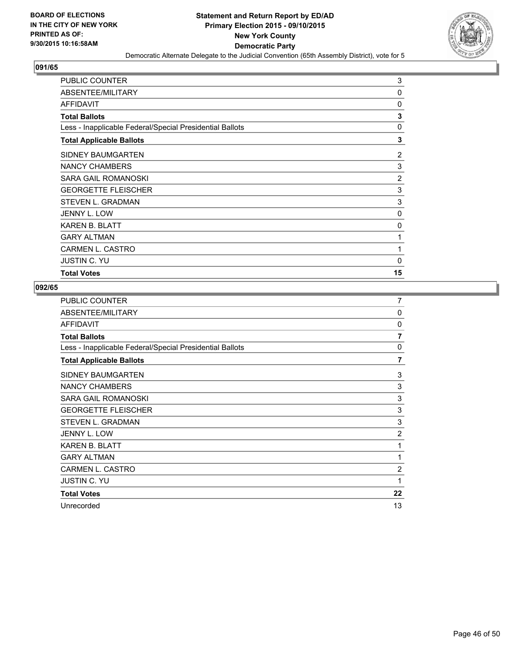

| <b>PUBLIC COUNTER</b>                                    | 3        |
|----------------------------------------------------------|----------|
| ABSENTEE/MILITARY                                        | 0        |
| AFFIDAVIT                                                | 0        |
| <b>Total Ballots</b>                                     | 3        |
| Less - Inapplicable Federal/Special Presidential Ballots | $\Omega$ |
| <b>Total Applicable Ballots</b>                          | 3        |
| SIDNEY BAUMGARTEN                                        | 2        |
| NANCY CHAMBERS                                           | 3        |
| SARA GAIL ROMANOSKI                                      | 2        |
| <b>GEORGETTE FLEISCHER</b>                               | 3        |
| <b>STEVEN L. GRADMAN</b>                                 | 3        |
| JENNY L. LOW                                             | 0        |
| <b>KAREN B. BLATT</b>                                    | 0        |
| <b>GARY ALTMAN</b>                                       | 1        |
| <b>CARMEN L. CASTRO</b>                                  | 1        |
| <b>JUSTIN C. YU</b>                                      | 0        |
| <b>Total Votes</b>                                       | 15       |

| <b>PUBLIC COUNTER</b>                                    | 7              |
|----------------------------------------------------------|----------------|
| ABSENTEE/MILITARY                                        | $\Omega$       |
| <b>AFFIDAVIT</b>                                         | 0              |
| <b>Total Ballots</b>                                     | 7              |
| Less - Inapplicable Federal/Special Presidential Ballots | 0              |
| <b>Total Applicable Ballots</b>                          | 7              |
| SIDNEY BAUMGARTEN                                        | 3              |
| NANCY CHAMBERS                                           | 3              |
| SARA GAIL ROMANOSKI                                      | 3              |
| <b>GEORGETTE FLEISCHER</b>                               | 3              |
| STEVEN L. GRADMAN                                        | 3              |
| JENNY L. LOW                                             | 2              |
| <b>KAREN B. BLATT</b>                                    | 1              |
| <b>GARY ALTMAN</b>                                       | 1              |
| <b>CARMEN L. CASTRO</b>                                  | $\overline{2}$ |
| <b>JUSTIN C. YU</b>                                      | 1              |
| <b>Total Votes</b>                                       | 22             |
| Unrecorded                                               | 13             |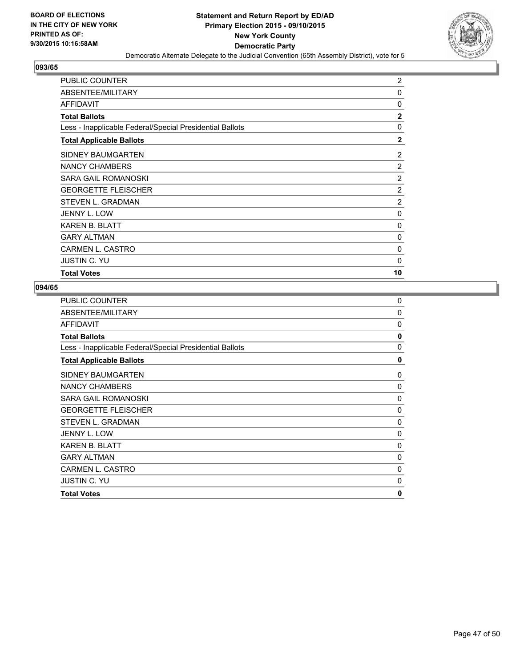

| <b>PUBLIC COUNTER</b>                                    | 2              |
|----------------------------------------------------------|----------------|
| ABSENTEE/MILITARY                                        | 0              |
| AFFIDAVIT                                                | $\Omega$       |
| <b>Total Ballots</b>                                     | $\overline{2}$ |
| Less - Inapplicable Federal/Special Presidential Ballots | 0              |
| <b>Total Applicable Ballots</b>                          | $\mathbf{2}$   |
| SIDNEY BAUMGARTEN                                        | 2              |
| NANCY CHAMBERS                                           | 2              |
| SARA GAIL ROMANOSKI                                      | 2              |
| <b>GEORGETTE FLEISCHER</b>                               | $\overline{2}$ |
| <b>STEVEN L. GRADMAN</b>                                 | $\overline{2}$ |
| JENNY L. LOW                                             | 0              |
| <b>KAREN B. BLATT</b>                                    | 0              |
| <b>GARY ALTMAN</b>                                       | 0              |
| CARMEN L. CASTRO                                         | 0              |
| <b>JUSTIN C. YU</b>                                      | 0              |
| <b>Total Votes</b>                                       | 10             |

| 0            |
|--------------|
| 0            |
| 0            |
| 0            |
| $\Omega$     |
| 0            |
| 0            |
| 0            |
| $\Omega$     |
| 0            |
| 0            |
| 0            |
| $\Omega$     |
| 0            |
| 0            |
| 0            |
| $\mathbf{0}$ |
|              |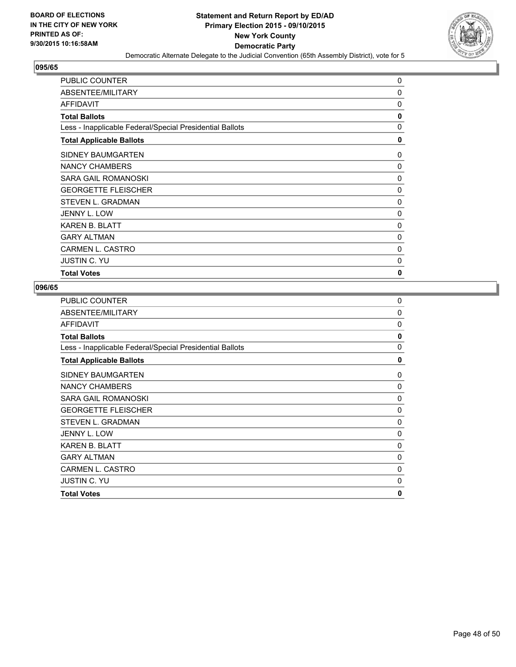

| <b>PUBLIC COUNTER</b>                                    | 0            |
|----------------------------------------------------------|--------------|
| ABSENTEE/MILITARY                                        | 0            |
| AFFIDAVIT                                                | $\Omega$     |
| <b>Total Ballots</b>                                     | 0            |
| Less - Inapplicable Federal/Special Presidential Ballots | $\mathbf{0}$ |
| <b>Total Applicable Ballots</b>                          | 0            |
| SIDNEY BAUMGARTEN                                        | 0            |
| NANCY CHAMBERS                                           | 0            |
| SARA GAIL ROMANOSKI                                      | $\Omega$     |
| <b>GEORGETTE FLEISCHER</b>                               | 0            |
| <b>STEVEN L. GRADMAN</b>                                 | 0            |
| JENNY L. LOW                                             | 0            |
| <b>KAREN B. BLATT</b>                                    | 0            |
| <b>GARY ALTMAN</b>                                       | 0            |
| <b>CARMEN L. CASTRO</b>                                  | 0            |
| <b>JUSTIN C. YU</b>                                      | 0            |
| <b>Total Votes</b>                                       | $\mathbf{0}$ |

| $\mathbf 0$ |
|-------------|
| 0           |
| 0           |
| 0           |
| 0           |
| 0           |
| 0           |
| 0           |
| $\Omega$    |
| $\mathbf 0$ |
| 0           |
| 0           |
| 0           |
| 0           |
| 0           |
| 0           |
| 0           |
|             |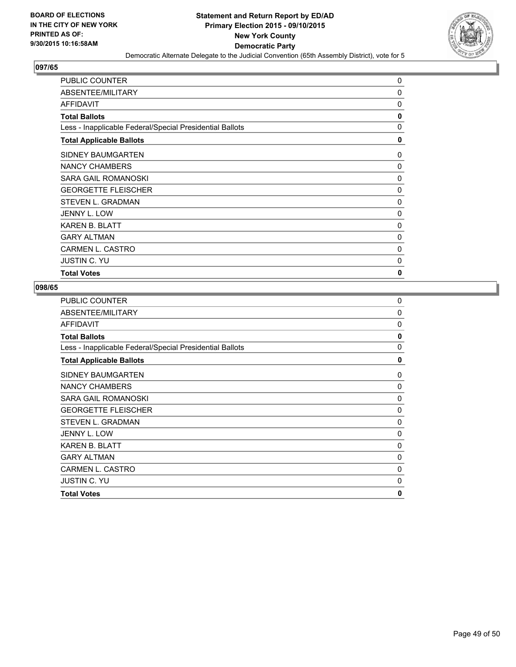

| <b>PUBLIC COUNTER</b>                                    | 0            |
|----------------------------------------------------------|--------------|
| ABSENTEE/MILITARY                                        | $\mathbf 0$  |
| <b>AFFIDAVIT</b>                                         | 0            |
| <b>Total Ballots</b>                                     | 0            |
| Less - Inapplicable Federal/Special Presidential Ballots | 0            |
| <b>Total Applicable Ballots</b>                          | 0            |
| SIDNEY BAUMGARTEN                                        | 0            |
| NANCY CHAMBERS                                           | 0            |
| <b>SARA GAIL ROMANOSKI</b>                               | $\Omega$     |
| <b>GEORGETTE FLEISCHER</b>                               | 0            |
| STEVEN L. GRADMAN                                        | $\Omega$     |
| <b>JENNY L. LOW</b>                                      | 0            |
| <b>KAREN B. BLATT</b>                                    | 0            |
| <b>GARY ALTMAN</b>                                       | 0            |
| <b>CARMEN L. CASTRO</b>                                  | 0            |
| <b>JUSTIN C. YU</b>                                      | 0            |
| <b>Total Votes</b>                                       | $\mathbf{0}$ |

| <b>PUBLIC COUNTER</b>                                    | 0            |
|----------------------------------------------------------|--------------|
| ABSENTEE/MILITARY                                        | 0            |
| <b>AFFIDAVIT</b>                                         | 0            |
| <b>Total Ballots</b>                                     | 0            |
| Less - Inapplicable Federal/Special Presidential Ballots | $\Omega$     |
| <b>Total Applicable Ballots</b>                          | 0            |
| SIDNEY BAUMGARTEN                                        | 0            |
| NANCY CHAMBERS                                           | 0            |
| SARA GAIL ROMANOSKI                                      | $\Omega$     |
| <b>GEORGETTE FLEISCHER</b>                               | 0            |
| STEVEN L. GRADMAN                                        | 0            |
| <b>JENNY L. LOW</b>                                      | 0            |
| <b>KAREN B. BLATT</b>                                    | $\Omega$     |
| <b>GARY ALTMAN</b>                                       | 0            |
| <b>CARMEN L. CASTRO</b>                                  | 0            |
| JUSTIN C. YU                                             | 0            |
| <b>Total Votes</b>                                       | $\mathbf{0}$ |